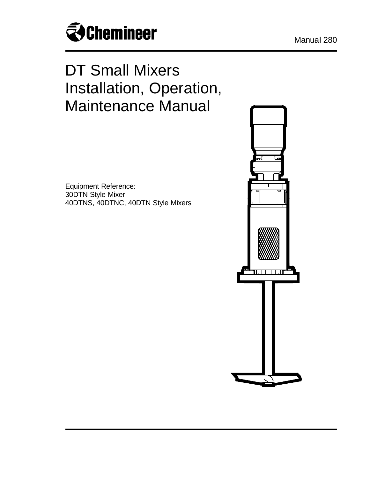

# DT Small Mixers Installation, Operation, Maintenance Manual

Equipment Reference: 30DTN Style Mixer 40DTNS, 40DTNC, 40DTN Style Mixers

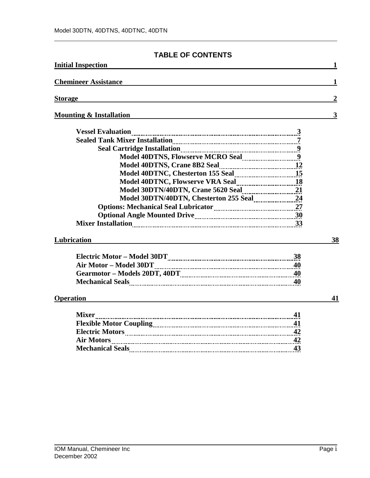# **TABLE OF CONTENTS**

| <b>Initial Inspection</b>          |                  |
|------------------------------------|------------------|
| <b>Chemineer Assistance</b>        | 1                |
| <b>Storage</b>                     | $\boldsymbol{2}$ |
| <b>Mounting &amp; Installation</b> | 3                |
| <b>Vessel Evaluation</b>           |                  |
| Lubrication                        | 38               |
| <b>Operation</b>                   | 41               |
|                                    |                  |
| Mixer<br>Air Motors 22<br>43       |                  |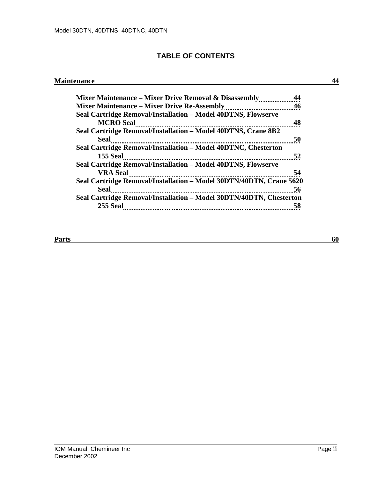# **TABLE OF CONTENTS**

# **Maintenance 44**

| Mixer Maintenance – Mixer Drive Removal & Disassembly               |    |
|---------------------------------------------------------------------|----|
| <b>Mixer Maintenance – Mixer Drive Re-Assembly</b>                  | 46 |
| Seal Cartridge Removal/Installation - Model 40DTNS, Flowserve       |    |
| <b>MCRO</b> Seal                                                    | 48 |
| Seal Cartridge Removal/Installation - Model 40DTNS, Crane 8B2       |    |
| Seal                                                                | 50 |
| Seal Cartridge Removal/Installation – Model 40DTNC, Chesterton      |    |
| <b>155 Seal</b>                                                     | 52 |
| Seal Cartridge Removal/Installation - Model 40DTNS, Flowserve       |    |
| <b>VRA Seal</b>                                                     | 54 |
| Seal Cartridge Removal/Installation - Model 30DTN/40DTN, Crane 5620 |    |
| <b>Seal</b>                                                         | 56 |
| Seal Cartridge Removal/Installation - Model 30DTN/40DTN, Chesterton |    |
| 255 Seal                                                            | 58 |

#### **Parts** 60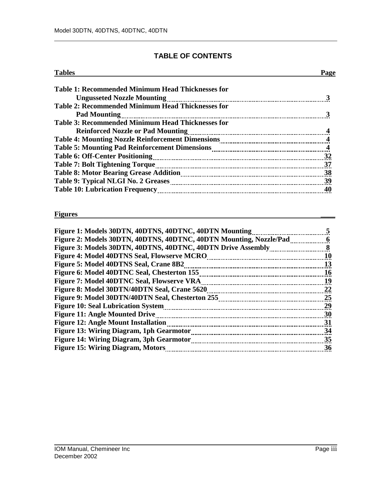# **TABLE OF CONTENTS**

| <b>Tables</b>                                            | Page |
|----------------------------------------------------------|------|
| <b>Table 1: Recommended Minimum Head Thicknesses for</b> |      |
|                                                          |      |
| <b>Table 2: Recommended Minimum Head Thicknesses for</b> |      |
| <b>Pad Mounting</b>                                      |      |
| <b>Table 3: Recommended Minimum Head Thicknesses for</b> |      |
|                                                          |      |
|                                                          |      |
|                                                          |      |
|                                                          |      |
|                                                          |      |
|                                                          | 38   |
|                                                          | 39   |
|                                                          | 40   |

#### **Figures \_\_\_\_**

| Figure 1: Models 30DTN, 40DTNS, 40DTNC, 40DTN Mounting             |    |
|--------------------------------------------------------------------|----|
| Figure 2: Models 30DTN, 40DTNS, 40DTNC, 40DTN Mounting, Nozzle/Pad | 6  |
| Figure 3: Models 30DTN, 40DTNS, 40DTNC, 40DTN Drive Assembly       | 8  |
| Figure 4: Model 40DTNS Seal, Flowserve MCRO                        | 10 |
| Figure 5: Model 40DTNS Seal, Crane 8B2                             | 13 |
| Figure 6: Model 40DTNC Seal, Chesterton 155                        | 16 |
| Figure 7: Model 40DTNC Seal, Flowserve VRA                         | 19 |
| Figure 8: Model 30DTN/40DTN Seal, Crane 5620                       | 22 |
| Figure 9: Model 30DTN/40DTN Seal, Chesterton 255                   | 25 |
| <b>Figure 10: Seal Lubrication System</b>                          | 29 |
| <b>Figure 11: Angle Mounted Drive</b>                              | 30 |
| Figure 12: Angle Mount Installation                                | 31 |
| <b>Figure 13: Wiring Diagram, 1ph Gearmotor</b>                    | 34 |
| <b>Figure 14: Wiring Diagram, 3ph Gearmotor</b>                    | 35 |
| <b>Figure 15: Wiring Diagram, Motors</b>                           | 36 |
|                                                                    |    |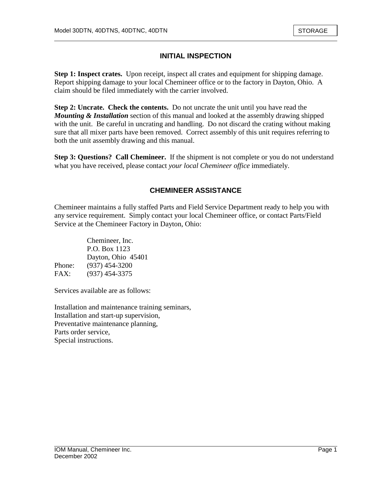# **INITIAL INSPECTION**

**Step 1: Inspect crates.** Upon receipt, inspect all crates and equipment for shipping damage. Report shipping damage to your local Chemineer office or to the factory in Dayton, Ohio. A claim should be filed immediately with the carrier involved.

**Step 2: Uncrate. Check the contents.** Do not uncrate the unit until you have read the *Mounting & Installation* section of this manual and looked at the assembly drawing shipped with the unit. Be careful in uncrating and handling. Do not discard the crating without making sure that all mixer parts have been removed. Correct assembly of this unit requires referring to both the unit assembly drawing and this manual.

**Step 3: Questions? Call Chemineer.** If the shipment is not complete or you do not understand what you have received, please contact *your local Chemineer office* immediately.

# **CHEMINEER ASSISTANCE**

Chemineer maintains a fully staffed Parts and Field Service Department ready to help you with any service requirement. Simply contact your local Chemineer office, or contact Parts/Field Service at the Chemineer Factory in Dayton, Ohio:

|        | Chemineer, Inc.    |
|--------|--------------------|
|        | P.O. Box 1123      |
|        | Dayton, Ohio 45401 |
| Phone: | $(937)$ 454-3200   |
| FAX:   | $(937)$ 454-3375   |

Services available are as follows:

Installation and maintenance training seminars, Installation and start-up supervision, Preventative maintenance planning, Parts order service, Special instructions.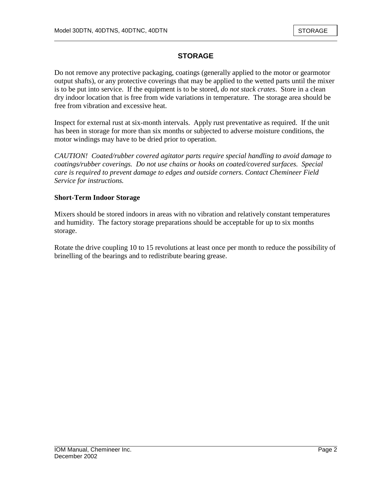# **STORAGE**

Do not remove any protective packaging, coatings (generally applied to the motor or gearmotor output shafts), or any protective coverings that may be applied to the wetted parts until the mixer is to be put into service. If the equipment is to be stored, *do not stack crates*. Store in a clean dry indoor location that is free from wide variations in temperature. The storage area should be free from vibration and excessive heat.

Inspect for external rust at six-month intervals. Apply rust preventative as required. If the unit has been in storage for more than six months or subjected to adverse moisture conditions, the motor windings may have to be dried prior to operation.

*CAUTION! Coated/rubber covered agitator parts require special handling to avoid damage to coatings/rubber coverings. Do not use chains or hooks on coated/covered surfaces. Special care is required to prevent damage to edges and outside corners. Contact Chemineer Field Service for instructions.* 

### **Short-Term Indoor Storage**

Mixers should be stored indoors in areas with no vibration and relatively constant temperatures and humidity. The factory storage preparations should be acceptable for up to six months storage.

Rotate the drive coupling 10 to 15 revolutions at least once per month to reduce the possibility of brinelling of the bearings and to redistribute bearing grease.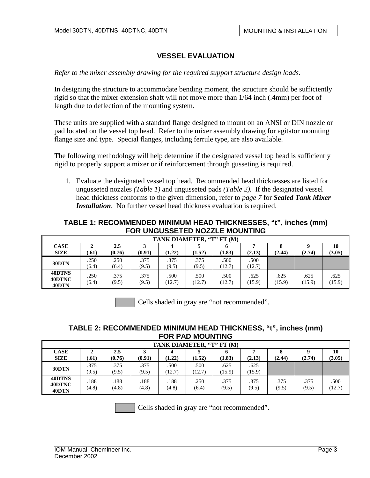#### *Refer to the mixer assembly drawing for the required support structure design loads.*

In designing the structure to accommodate bending moment, the structure should be sufficiently rigid so that the mixer extension shaft will not move more than 1/64 inch (.4mm) per foot of length due to deflection of the mounting system.

These units are supplied with a standard flange designed to mount on an ANSI or DIN nozzle or pad located on the vessel top head. Refer to the mixer assembly drawing for agitator mounting flange size and type. Special flanges, including ferrule type, are also available.

The following methodology will help determine if the designated vessel top head is sufficiently rigid to properly support a mixer or if reinforcement through gusseting is required.

1. Evaluate the designated vessel top head. Recommended head thicknesses are listed for ungusseted nozzles *(Table 1)* and ungusseted pads *(Table 2).* If the designated vessel head thickness conforms to the given dimension, refer to *page 7* for *Sealed Tank Mixer Installation*. No further vessel head thickness evaluation is required.

### **TABLE 1: RECOMMENDED MINIMUM HEAD THICKNESSES, "t", inches (mm) FOR UNGUSSETED NOZZLE MOUNTING**

|                            | TANK DIAMETER, "T" FT (M) |               |               |                |                |                |                |                |                |                |
|----------------------------|---------------------------|---------------|---------------|----------------|----------------|----------------|----------------|----------------|----------------|----------------|
| <b>CASE</b><br><b>SIZE</b> | ∠<br>.61)                 | 2.5<br>(0.76) | (0.91)        | (1.22)         | (1.52)         | n<br>(1.83)    | (2.13)         | (2.44)         | (2.74)         | 10<br>(3.05)   |
| 30DTN                      | .250<br>(6.4)             | .250<br>(6.4) | .375<br>(9.5) | .375<br>(9.5)  | .375<br>(9.5)  | .500<br>(12.7) | .500<br>(12.7) |                |                |                |
| 40DTNS<br>40DTNC<br>40DTN  | .250<br>(6.4)             | .375<br>(9.5) | .375<br>(9.5) | .500<br>(12.7) | .500<br>(12.7) | .500<br>(12.7) | .625<br>(15.9) | .625<br>(15.9) | .625<br>(15.9) | .625<br>(15.9) |

Cells shaded in gray are "not recommended".

# **TABLE 2: RECOMMENDED MINIMUM HEAD THICKNESS, "t", inches (mm) FOR PAD MOUNTING**

|                            | TANK DIAMETER, "T" FT (M) |               |               |               |                |                |                |               |               |                |
|----------------------------|---------------------------|---------------|---------------|---------------|----------------|----------------|----------------|---------------|---------------|----------------|
| <b>CASE</b><br><b>SIZE</b> | .61)                      | 2.5<br>(0.76) | (0.91)        | (1.22)        | (1.52)         | (1.83)         | (2.13)         | (2.44)        | (2.74)        | 10<br>(3.05)   |
| 30DTN                      | .375<br>(9.5)             | .375<br>(9.5) | .375<br>(9.5) | .500<br>12.7) | .500<br>(12.7) | .625<br>(15.9) | .625<br>(15.9) |               |               |                |
| 40DTNS<br>40DTNC<br>40DTN  | .188<br>(4.8)             | .188<br>(4.8) | .188<br>(4.8) | .188<br>(4.8) | .250<br>(6.4)  | .375<br>(9.5)  | .375<br>(9.5)  | .375<br>(9.5) | .375<br>(9.5) | .500<br>(12.7) |

Cells shaded in gray are "not recommended".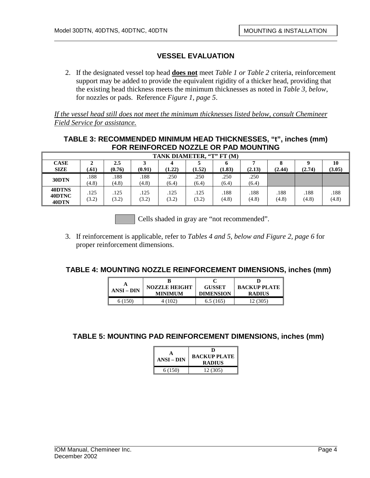2. If the designated vessel top head **does not** meet *Table 1 or Table 2* criteria, reinforcement support may be added to provide the equivalent rigidity of a thicker head, providing that the existing head thickness meets the minimum thicknesses as noted in *Table 3, below*, for nozzles or pads. Reference *Figure 1, page 5*.

*If the vessel head still does not meet the minimum thicknesses listed below, consult Chemineer Field Service for assistance.*

# **TABLE 3: RECOMMENDED MINIMUM HEAD THICKNESSES, "t", inches (mm) FOR REINFORCED NOZZLE OR PAD MOUNTING**

| TANK DIAMETER, "T" FT (M)  |               |               |               |               |               |               |               |               |               |               |
|----------------------------|---------------|---------------|---------------|---------------|---------------|---------------|---------------|---------------|---------------|---------------|
| <b>CASE</b><br><b>SIZE</b> | ▵<br>.61)     | 2.5<br>(0.76) | (0.91)        | (1.22)        | (1.52)        | O<br>(1.83)   | (2.13)        | (2.44)        | (2.74)        | 10<br>(3.05)  |
| 30DTN                      | .188<br>(4.8) | .188<br>(4.8) | .188<br>(4.8) | .250<br>(6.4) | .250<br>(6.4) | .250<br>(6.4) | .250<br>(6.4) |               |               |               |
| 40DTNS<br>40DTNC<br>40DTN  | .125<br>(3.2) | .125<br>(3.2) | .125<br>(3.2) | .125<br>(3.2) | .125<br>(3.2) | .188<br>(4.8) | .188<br>(4.8) | .188<br>(4.8) | .188<br>(4.8) | .188<br>(4.8) |

Cells shaded in gray are "not recommended".

3. If reinforcement is applicable, refer to *Tables 4 and 5, below and Figure 2, page 6* for proper reinforcement dimensions.

### **TABLE 4: MOUNTING NOZZLE REINFORCEMENT DIMENSIONS, inches (mm)**

|            |                                        |                                   | <b>BACKUP PLATE</b> |
|------------|----------------------------------------|-----------------------------------|---------------------|
| $ANSI-DIN$ | <b>NOZZLE HEIGHT</b><br><b>MINIMUM</b> | <b>GUSSET</b><br><b>DIMENSION</b> | <b>RADIUS</b>       |
| 6 (150)    | 4(102)                                 | 6.5(165)                          | 12 (305)            |

**TABLE 5: MOUNTING PAD REINFORCEMENT DIMENSIONS, inches (mm)**

| ANSI – DIN | D<br><b>BACKUP PLATE</b><br><b>RADIUS</b> |
|------------|-------------------------------------------|
| 6(150)     | 12 (305)                                  |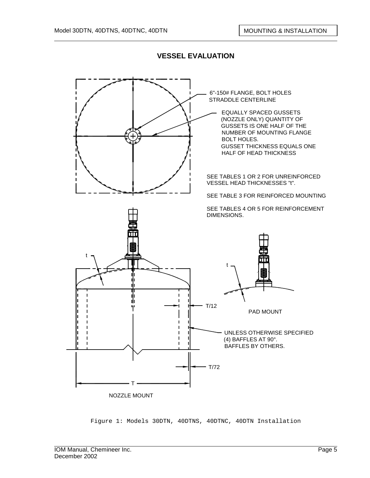

Figure 1: Models 30DTN, 40DTNS, 40DTNC, 40DTN Installation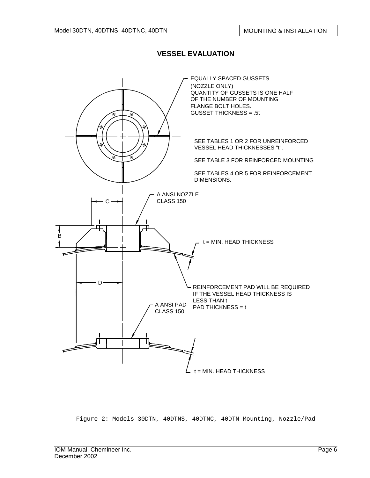

Figure 2: Models 30DTN, 40DTNS, 40DTNC, 40DTN Mounting, Nozzle/Pad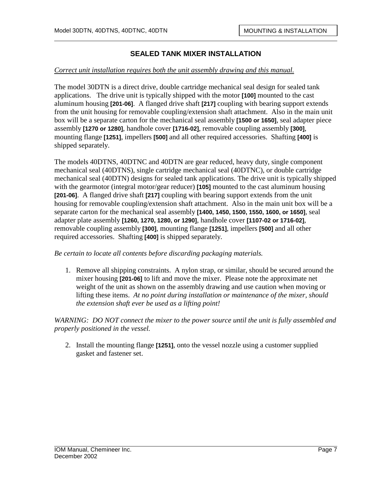#### *Correct unit installation requires both the unit assembly drawing and this manual.*

The model 30DTN is a direct drive, double cartridge mechanical seal design for sealed tank applications. The drive unit is typically shipped with the motor **[100]** mounted to the cast aluminum housing **[201-06]**. A flanged drive shaft **[217]** coupling with bearing support extends from the unit housing for removable coupling/extension shaft attachment. Also in the main unit box will be a separate carton for the mechanical seal assembly **[1500 or 1650]**, seal adapter piece assembly **[1270 or 1280]**, handhole cover **[1716-02]**, removable coupling assembly **[300]**, mounting flange **[1251]**, impellers **[500]** and all other required accessories. Shafting **[400]** is shipped separately.

The models 40DTNS, 40DTNC and 40DTN are gear reduced, heavy duty, single component mechanical seal (40DTNS), single cartridge mechanical seal (40DTNC), or double cartridge mechanical seal (40DTN) designs for sealed tank applications. The drive unit is typically shipped with the gearmotor (integral motor/gear reducer) **[105]** mounted to the cast aluminum housing **[201-06]**. A flanged drive shaft **[217]** coupling with bearing support extends from the unit housing for removable coupling/extension shaft attachment. Also in the main unit box will be a separate carton for the mechanical seal assembly **[1400, 1450, 1500, 1550, 1600, or 1650]**, seal adapter plate assembly **[1260, 1270, 1280, or 1290]**, handhole cover **[1107-02 or 1716-02]**, removable coupling assembly **[300]**, mounting flange **[1251]**, impellers **[500]** and all other required accessories. Shafting **[400]** is shipped separately.

*Be certain to locate all contents before discarding packaging materials.* 

1. Remove all shipping constraints. A nylon strap, or similar, should be secured around the mixer housing **[201-06]** to lift and move the mixer. Please note the approximate net weight of the unit as shown on the assembly drawing and use caution when moving or lifting these items. *At no point during installation or maintenance of the mixer, should the extension shaft ever be used as a lifting point!*

*WARNING: DO NOT connect the mixer to the power source until the unit is fully assembled and properly positioned in the vessel.* 

2. Install the mounting flange **[1251]**, onto the vessel nozzle using a customer supplied gasket and fastener set.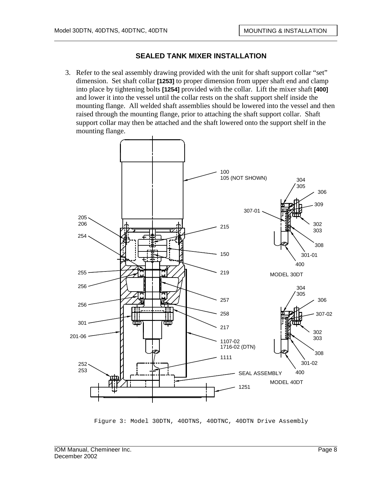3. Refer to the seal assembly drawing provided with the unit for shaft support collar "set" dimension. Set shaft collar **[1253]** to proper dimension from upper shaft end and clamp into place by tightening bolts **[1254]** provided with the collar. Lift the mixer shaft **[400]**  and lower it into the vessel until the collar rests on the shaft support shelf inside the mounting flange. All welded shaft assemblies should be lowered into the vessel and then raised through the mounting flange, prior to attaching the shaft support collar. Shaft support collar may then be attached and the shaft lowered onto the support shelf in the mounting flange.



Figure 3: Model 30DTN, 40DTNS, 40DTNC, 40DTN Drive Assembly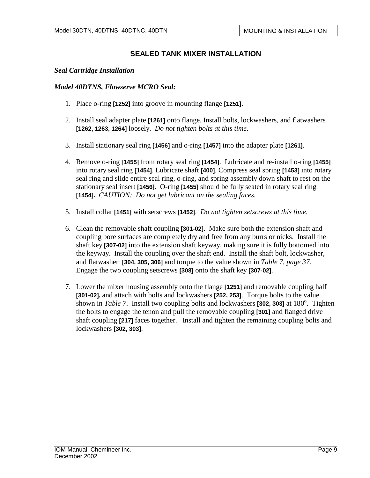#### *Seal Cartridge Installation*

#### *Model 40DTNS, Flowserve MCRO Seal:*

- 1. Place o-ring **[1252]** into groove in mounting flange **[1251]**.
- 2. Install seal adapter plate **[1261]** onto flange. Install bolts, lockwashers, and flatwashers **[1262, 1263, 1264]** loosely. *Do not tighten bolts at this time.*
- 3. Install stationary seal ring **[1456]** and o-ring **[1457]** into the adapter plate **[1261]**.
- 4. Remove o-ring **[1455]** from rotary seal ring **[1454]**. Lubricate and re-install o-ring **[1455]** into rotary seal ring **[1454]**. Lubricate shaft **[400]**. Compress seal spring **[1453]** into rotary seal ring and slide entire seal ring, o-ring, and spring assembly down shaft to rest on the stationary seal insert **[1456]**. O-ring **[1455]** should be fully seated in rotary seal ring **[1454].** *CAUTION: Do not get lubricant on the sealing faces.*
- 5. Install collar **[1451]** with setscrews **[1452]**. *Do not tighten setscrews at this time.*
- 6. Clean the removable shaft coupling **[301-02]**. Make sure both the extension shaft and coupling bore surfaces are completely dry and free from any burrs or nicks. Install the shaft key **[307-02]** into the extension shaft keyway, making sure it is fully bottomed into the keyway. Install the coupling over the shaft end. Install the shaft bolt, lockwasher, and flatwasher **[304, 305, 306]** and torque to the value shown in *Table 7, page 37.*  Engage the two coupling setscrews **[308]** onto the shaft key **[307-02]**.
- 7. Lower the mixer housing assembly onto the flange **[1251]** and removable coupling half **[301-02],** and attach with bolts and lockwashers **[252, 253]**. Torque bolts to the value shown in *Table 7*. Install two coupling bolts and lockwashers [302, 303] at 180<sup>°</sup>. Tighten the bolts to engage the tenon and pull the removable coupling **[301]** and flanged drive shaft coupling **[217]** faces together. Install and tighten the remaining coupling bolts and lockwashers **[302, 303]**.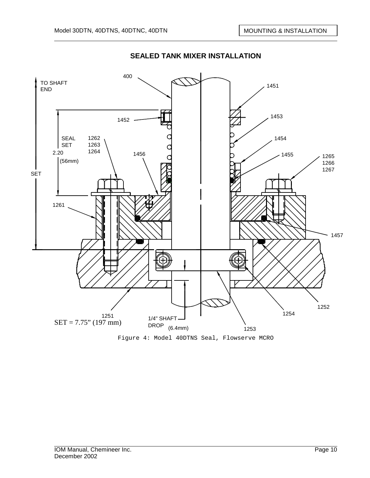

Figure 4: Model 40DTNS Seal, Flowserve MCRO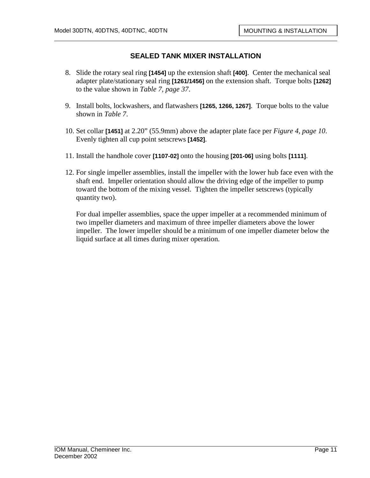- 8. Slide the rotary seal ring **[1454]** up the extension shaft **[400]**. Center the mechanical seal adapter plate/stationary seal ring **[1261/1456]** on the extension shaft. Torque bolts **[1262]** to the value shown in *Table 7, page 37*.
- 9. Install bolts, lockwashers, and flatwashers **[1265, 1266, 1267]**. Torque bolts to the value shown in *Table 7*.
- 10. Set collar **[1451]** at 2.20" (55.9mm) above the adapter plate face per *Figure 4, page 10*. Evenly tighten all cup point setscrews **[1452]**.
- 11. Install the handhole cover **[1107-02]** onto the housing **[201-06]** using bolts **[1111]**.
- 12. For single impeller assemblies, install the impeller with the lower hub face even with the shaft end. Impeller orientation should allow the driving edge of the impeller to pump toward the bottom of the mixing vessel. Tighten the impeller setscrews (typically quantity two).

For dual impeller assemblies, space the upper impeller at a recommended minimum of two impeller diameters and maximum of three impeller diameters above the lower impeller. The lower impeller should be a minimum of one impeller diameter below the liquid surface at all times during mixer operation.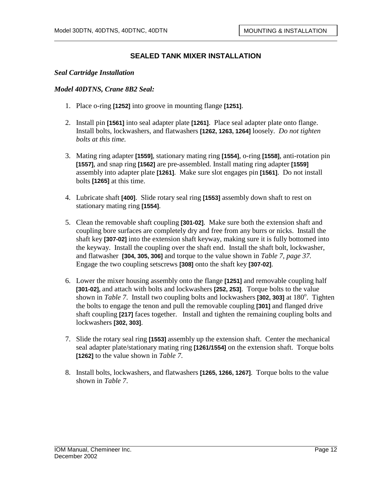#### *Seal Cartridge Installation*

#### *Model 40DTNS, Crane 8B2 Seal:*

- 1. Place o-ring **[1252]** into groove in mounting flange **[1251]**.
- 2. Install pin **[1561]** into seal adapter plate **[1261]**. Place seal adapter plate onto flange. Install bolts, lockwashers, and flatwashers **[1262, 1263, 1264]** loosely. *Do not tighten bolts at this time.*
- 3. Mating ring adapter **[1559]**, stationary mating ring **[1554]**, o-ring **[1558]**, anti-rotation pin **[1557]**, and snap ring **[1562]** are pre-assembled. Install mating ring adapter **[1559]** assembly into adapter plate **[1261]**. Make sure slot engages pin **[1561]**. Do not install bolts **[1265]** at this time.
- 4. Lubricate shaft **[400]**. Slide rotary seal ring **[1553]** assembly down shaft to rest on stationary mating ring **[1554]**.
- 5. Clean the removable shaft coupling **[301-02]**. Make sure both the extension shaft and coupling bore surfaces are completely dry and free from any burrs or nicks. Install the shaft key **[307-02]** into the extension shaft keyway, making sure it is fully bottomed into the keyway. Install the coupling over the shaft end. Install the shaft bolt, lockwasher, and flatwasher **[304, 305, 306]** and torque to the value shown in *Table 7, page 37.*  Engage the two coupling setscrews **[308]** onto the shaft key **[307-02]**.
- 6. Lower the mixer housing assembly onto the flange **[1251]** and removable coupling half **[301-02],** and attach with bolts and lockwashers **[252, 253]**. Torque bolts to the value shown in *Table 7*. Install two coupling bolts and lockwashers [302, 303] at 180<sup>°</sup>. Tighten the bolts to engage the tenon and pull the removable coupling **[301]** and flanged drive shaft coupling **[217]** faces together. Install and tighten the remaining coupling bolts and lockwashers **[302, 303]**.
- 7. Slide the rotary seal ring **[1553]** assembly up the extension shaft. Center the mechanical seal adapter plate/stationary mating ring **[1261/1554]** on the extension shaft. Torque bolts **[1262]** to the value shown in *Table 7*.
- 8. Install bolts, lockwashers, and flatwashers **[1265, 1266, 1267]**. Torque bolts to the value shown in *Table 7*.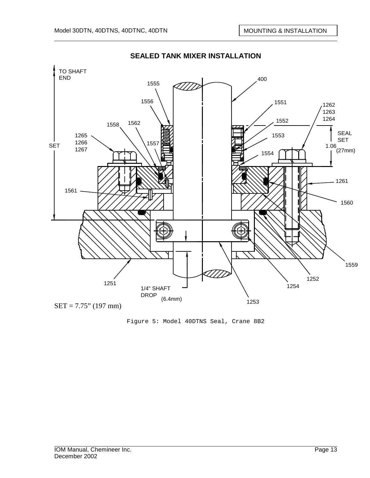

Figure 5: Model 40DTNS Seal, Crane 8B2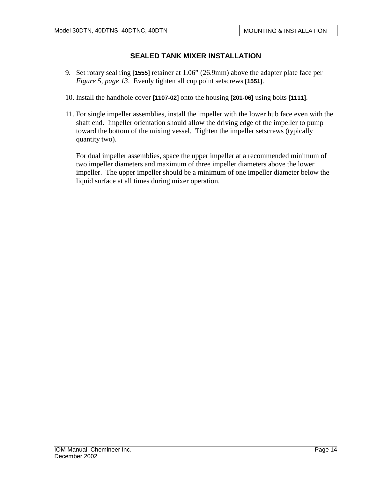- 9. Set rotary seal ring **[1555]** retainer at 1.06" (26.9mm) above the adapter plate face per *Figure 5, page 13*. Evenly tighten all cup point setscrews **[1551]**.
- 10. Install the handhole cover **[1107-02]** onto the housing **[201-06]** using bolts **[1111]**.
- 11. For single impeller assemblies, install the impeller with the lower hub face even with the shaft end. Impeller orientation should allow the driving edge of the impeller to pump toward the bottom of the mixing vessel. Tighten the impeller setscrews (typically quantity two).

For dual impeller assemblies, space the upper impeller at a recommended minimum of two impeller diameters and maximum of three impeller diameters above the lower impeller. The upper impeller should be a minimum of one impeller diameter below the liquid surface at all times during mixer operation.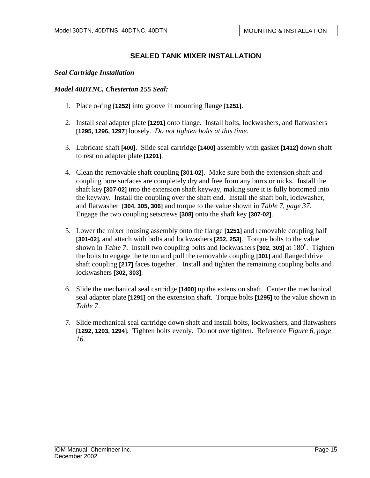#### *Seal Cartridge Installation*

#### *Model 40DTNC, Chesterton 155 Seal:*

- 1. Place o-ring **[1252]** into groove in mounting flange **[1251]**.
- 2. Install seal adapter plate **[1291]** onto flange. Install bolts, lockwashers, and flatwashers **[1295, 1296, 1297]** loosely. *Do not tighten bolts at this time.*
- 3. Lubricate shaft **[400]**. Slide seal cartridge **[1400]** assembly with gasket **[1412]** down shaft to rest on adapter plate **[1291]**.
- 4. Clean the removable shaft coupling **[301-02]**. Make sure both the extension shaft and coupling bore surfaces are completely dry and free from any burrs or nicks. Install the shaft key **[307-02]** into the extension shaft keyway, making sure it is fully bottomed into the keyway. Install the coupling over the shaft end. Install the shaft bolt, lockwasher, and flatwasher **[304, 305, 306]** and torque to the value shown in *Table 7, page 37.*  Engage the two coupling setscrews **[308]** onto the shaft key **[307-02]**.
- 5. Lower the mixer housing assembly onto the flange **[1251]** and removable coupling half **[301-02],** and attach with bolts and lockwashers **[252, 253]**. Torque bolts to the value shown in *Table 7*. Install two coupling bolts and lockwashers [302, 303] at 180<sup>°</sup>. Tighten the bolts to engage the tenon and pull the removable coupling **[301]** and flanged drive shaft coupling **[217]** faces together. Install and tighten the remaining coupling bolts and lockwashers **[302, 303]**.
- 6. Slide the mechanical seal cartridge **[1400]** up the extension shaft. Center the mechanical seal adapter plate **[1291]** on the extension shaft. Torque bolts **[1295]** to the value shown in *Table 7*.
- 7. Slide mechanical seal cartridge down shaft and install bolts, lockwashers, and flatwashers **[1292, 1293, 1294]**. Tighten bolts evenly. Do not overtighten. Reference *Figure 6, page 16*.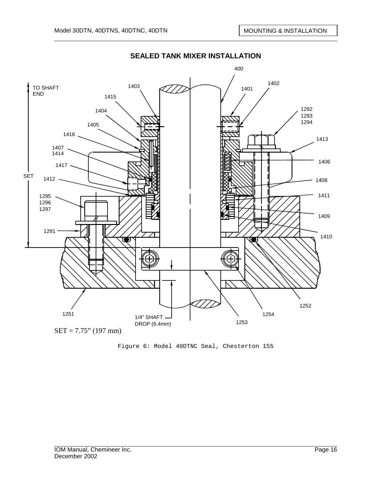

**SEALED TANK MIXER INSTALLATION** 

Figure 6: Model 40DTNC Seal, Chesterton 155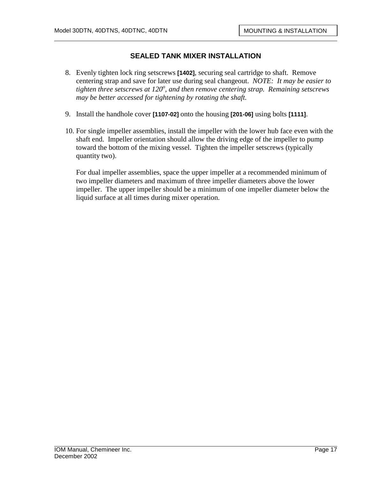- 8. Evenly tighten lock ring setscrews **[1402]**, securing seal cartridge to shaft. Remove centering strap and save for later use during seal changeout. *NOTE: It may be easier to tighten three setscrews at 120<sup>o</sup> , and then remove centering strap. Remaining setscrews may be better accessed for tightening by rotating the shaft.*
- 9. Install the handhole cover **[1107-02]** onto the housing **[201-06]** using bolts **[1111]**.
- 10. For single impeller assemblies, install the impeller with the lower hub face even with the shaft end. Impeller orientation should allow the driving edge of the impeller to pump toward the bottom of the mixing vessel. Tighten the impeller setscrews (typically quantity two).

For dual impeller assemblies, space the upper impeller at a recommended minimum of two impeller diameters and maximum of three impeller diameters above the lower impeller. The upper impeller should be a minimum of one impeller diameter below the liquid surface at all times during mixer operation.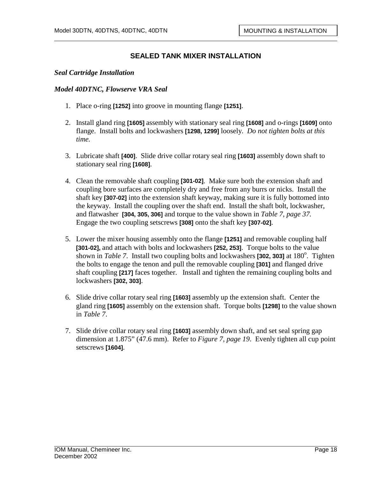#### *Seal Cartridge Installation*

#### *Model 40DTNC, Flowserve VRA Seal*

- 1. Place o-ring **[1252]** into groove in mounting flange **[1251]**.
- 2. Install gland ring **[1605]** assembly with stationary seal ring **[1608]** and o-rings **[1609]** onto flange. Install bolts and lockwashers **[1298, 1299]** loosely. *Do not tighten bolts at this time.*
- 3. Lubricate shaft **[400]**. Slide drive collar rotary seal ring **[1603]** assembly down shaft to stationary seal ring **[1608]**.
- 4. Clean the removable shaft coupling **[301-02]**. Make sure both the extension shaft and coupling bore surfaces are completely dry and free from any burrs or nicks. Install the shaft key **[307-02]** into the extension shaft keyway, making sure it is fully bottomed into the keyway. Install the coupling over the shaft end. Install the shaft bolt, lockwasher, and flatwasher **[304, 305, 306]** and torque to the value shown in *Table 7, page 37.*  Engage the two coupling setscrews **[308]** onto the shaft key **[307-02]**.
- 5. Lower the mixer housing assembly onto the flange **[1251]** and removable coupling half **[301-02],** and attach with bolts and lockwashers **[252, 253]**. Torque bolts to the value shown in *Table 7*. Install two coupling bolts and lockwashers [302, 303] at 180<sup>°</sup>. Tighten the bolts to engage the tenon and pull the removable coupling **[301]** and flanged drive shaft coupling **[217]** faces together. Install and tighten the remaining coupling bolts and lockwashers **[302, 303]**.
- 6. Slide drive collar rotary seal ring **[1603]** assembly up the extension shaft. Center the gland ring **[1605]** assembly on the extension shaft. Torque bolts **[1298]** to the value shown in *Table 7*.
- 7. Slide drive collar rotary seal ring **[1603]** assembly down shaft, and set seal spring gap dimension at 1.875" (47.6 mm). Refer to *Figure 7, page 19*. Evenly tighten all cup point setscrews **[1604]**.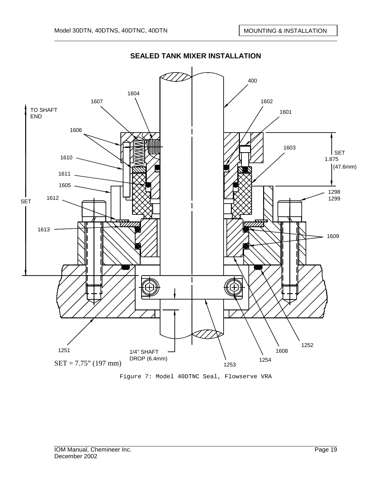

Figure 7: Model 40DTNC Seal, Flowserve VRA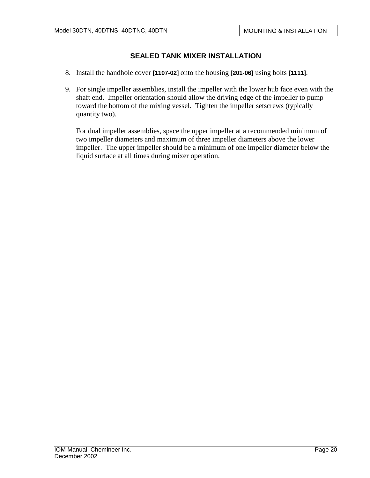- 8. Install the handhole cover **[1107-02]** onto the housing **[201-06]** using bolts **[1111]**.
- 9. For single impeller assemblies, install the impeller with the lower hub face even with the shaft end. Impeller orientation should allow the driving edge of the impeller to pump toward the bottom of the mixing vessel. Tighten the impeller setscrews (typically quantity two).

For dual impeller assemblies, space the upper impeller at a recommended minimum of two impeller diameters and maximum of three impeller diameters above the lower impeller. The upper impeller should be a minimum of one impeller diameter below the liquid surface at all times during mixer operation.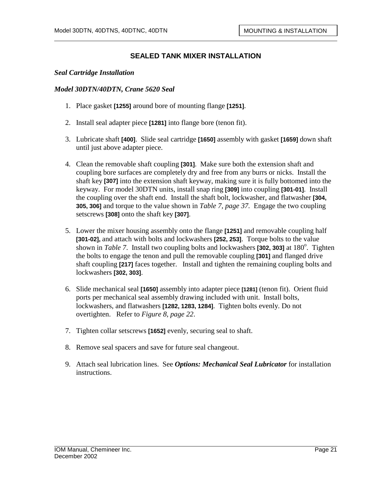#### *Seal Cartridge Installation*

#### *Model 30DTN/40DTN, Crane 5620 Seal*

- 1. Place gasket **[1255]** around bore of mounting flange **[1251]**.
- 2. Install seal adapter piece **[1281]** into flange bore (tenon fit).
- 3. Lubricate shaft **[400]**. Slide seal cartridge **[1650]** assembly with gasket **[1659]** down shaft until just above adapter piece.
- 4. Clean the removable shaft coupling **[301]**. Make sure both the extension shaft and coupling bore surfaces are completely dry and free from any burrs or nicks. Install the shaft key **[307]** into the extension shaft keyway, making sure it is fully bottomed into the keyway. For model 30DTN units, install snap ring **[309]** into coupling **[301-01]**. Install the coupling over the shaft end. Install the shaft bolt, lockwasher, and flatwasher **[304, 305, 306]** and torque to the value shown in *Table 7, page 37.* Engage the two coupling setscrews **[308]** onto the shaft key **[307]**.
- 5. Lower the mixer housing assembly onto the flange **[1251]** and removable coupling half **[301-02],** and attach with bolts and lockwashers **[252, 253]**. Torque bolts to the value shown in *Table 7*. Install two coupling bolts and lockwashers [302, 303] at 180<sup>°</sup>. Tighten the bolts to engage the tenon and pull the removable coupling **[301]** and flanged drive shaft coupling **[217]** faces together. Install and tighten the remaining coupling bolts and lockwashers **[302, 303]**.
- 6. Slide mechanical seal **[1650]** assembly into adapter piece **[1281]** (tenon fit). Orient fluid ports per mechanical seal assembly drawing included with unit. Install bolts, lockwashers, and flatwashers **[1282, 1283, 1284]**. Tighten bolts evenly. Do not overtighten. Refer to *Figure 8, page 22*.
- 7. Tighten collar setscrews **[1652]** evenly, securing seal to shaft.
- 8. Remove seal spacers and save for future seal changeout.
- 9. Attach seal lubrication lines. See *Options: Mechanical Seal Lubricator* for installation instructions.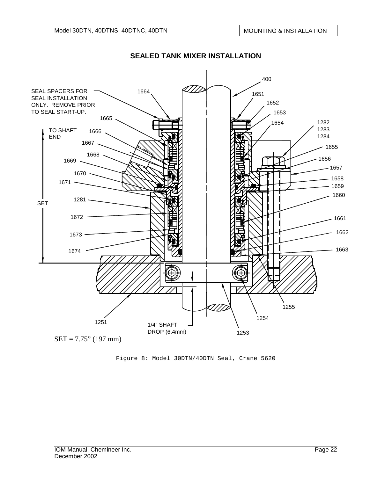

Figure 8: Model 30DTN/40DTN Seal, Crane 5620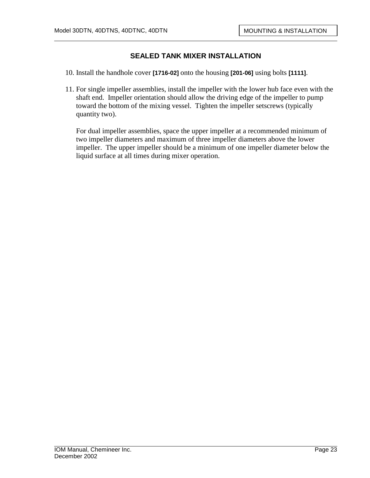- 10. Install the handhole cover **[1716-02]** onto the housing **[201-06]** using bolts **[1111]**.
- 11. For single impeller assemblies, install the impeller with the lower hub face even with the shaft end. Impeller orientation should allow the driving edge of the impeller to pump toward the bottom of the mixing vessel. Tighten the impeller setscrews (typically quantity two).

For dual impeller assemblies, space the upper impeller at a recommended minimum of two impeller diameters and maximum of three impeller diameters above the lower impeller. The upper impeller should be a minimum of one impeller diameter below the liquid surface at all times during mixer operation.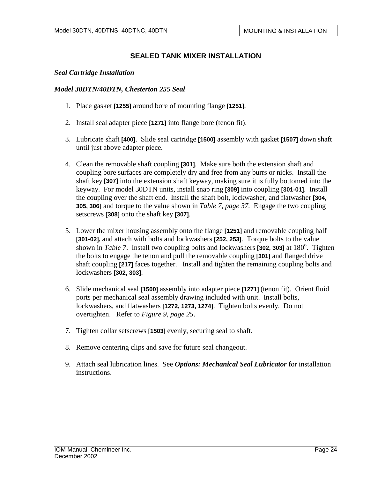#### *Seal Cartridge Installation*

#### *Model 30DTN/40DTN, Chesterton 255 Seal*

- 1. Place gasket **[1255]** around bore of mounting flange **[1251]**.
- 2. Install seal adapter piece **[1271]** into flange bore (tenon fit).
- 3. Lubricate shaft **[400]**. Slide seal cartridge **[1500]** assembly with gasket **[1507]** down shaft until just above adapter piece.
- 4. Clean the removable shaft coupling **[301]**. Make sure both the extension shaft and coupling bore surfaces are completely dry and free from any burrs or nicks. Install the shaft key **[307]** into the extension shaft keyway, making sure it is fully bottomed into the keyway. For model 30DTN units, install snap ring **[309]** into coupling **[301-01]**. Install the coupling over the shaft end. Install the shaft bolt, lockwasher, and flatwasher **[304, 305, 306]** and torque to the value shown in *Table 7, page 37.* Engage the two coupling setscrews **[308]** onto the shaft key **[307]**.
- 5. Lower the mixer housing assembly onto the flange **[1251]** and removable coupling half **[301-02],** and attach with bolts and lockwashers **[252, 253]**. Torque bolts to the value shown in *Table 7*. Install two coupling bolts and lockwashers [302, 303] at 180<sup>°</sup>. Tighten the bolts to engage the tenon and pull the removable coupling **[301]** and flanged drive shaft coupling **[217]** faces together. Install and tighten the remaining coupling bolts and lockwashers **[302, 303]**.
- 6. Slide mechanical seal **[1500]** assembly into adapter piece **[1271]** (tenon fit). Orient fluid ports per mechanical seal assembly drawing included with unit. Install bolts, lockwashers, and flatwashers **[1272, 1273, 1274]**. Tighten bolts evenly. Do not overtighten. Refer to *Figure 9, page 25*.
- 7. Tighten collar setscrews **[1503]** evenly, securing seal to shaft.
- 8. Remove centering clips and save for future seal changeout.
- 9. Attach seal lubrication lines. See *Options: Mechanical Seal Lubricator* for installation instructions.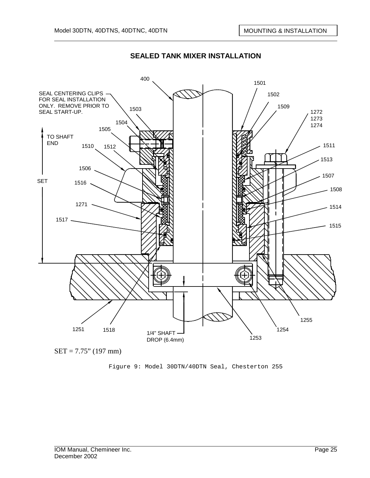

 $SET = 7.75$ " (197 mm)

Figure 9: Model 30DTN/40DTN Seal, Chesterton 255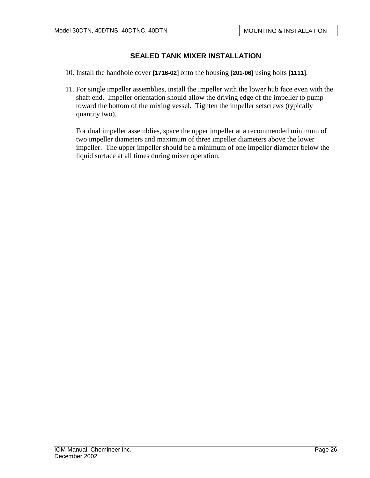- 10. Install the handhole cover **[1716-02]** onto the housing **[201-06]** using bolts **[1111]**.
- 11. For single impeller assemblies, install the impeller with the lower hub face even with the shaft end. Impeller orientation should allow the driving edge of the impeller to pump toward the bottom of the mixing vessel. Tighten the impeller setscrews (typically quantity two).

For dual impeller assemblies, space the upper impeller at a recommended minimum of two impeller diameters and maximum of three impeller diameters above the lower impeller. The upper impeller should be a minimum of one impeller diameter below the liquid surface at all times during mixer operation.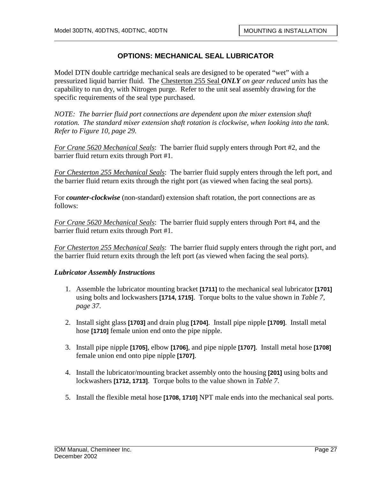# **OPTIONS: MECHANICAL SEAL LUBRICATOR**

Model DTN double cartridge mechanical seals are designed to be operated "wet" with a pressurized liquid barrier fluid. The Chesterton 255 Seal *ONLY on gear reduced units* has the capability to run dry, with Nitrogen purge. Refer to the unit seal assembly drawing for the specific requirements of the seal type purchased.

*NOTE: The barrier fluid port connections are dependent upon the mixer extension shaft rotation. The standard mixer extension shaft rotation is clockwise, when looking into the tank. Refer to Figure 10, page 29.* 

*For Crane 5620 Mechanical Seals*: The barrier fluid supply enters through Port #2, and the barrier fluid return exits through Port #1.

*For Chesterton 255 Mechanical Seals*: The barrier fluid supply enters through the left port, and the barrier fluid return exits through the right port (as viewed when facing the seal ports).

For *counter-clockwise* (non-standard) extension shaft rotation, the port connections are as follows:

*For Crane 5620 Mechanical Seals*: The barrier fluid supply enters through Port #4, and the barrier fluid return exits through Port #1.

*For Chesterton 255 Mechanical Seals*: The barrier fluid supply enters through the right port, and the barrier fluid return exits through the left port (as viewed when facing the seal ports).

### *Lubricator Assembly Instructions*

- 1. Assemble the lubricator mounting bracket **[1711]** to the mechanical seal lubricator **[1701]** using bolts and lockwashers **[1714, 1715]**. Torque bolts to the value shown in *Table 7, page 37*.
- 2. Install sight glass **[1703]** and drain plug **[1704]**. Install pipe nipple **[1709]**. Install metal hose **[1710]** female union end onto the pipe nipple.
- 3. Install pipe nipple **[1705]**, elbow **[1706]**, and pipe nipple **[1707]**. Install metal hose **[1708]** female union end onto pipe nipple **[1707]**.
- 4. Install the lubricator/mounting bracket assembly onto the housing **[201]** using bolts and lockwashers **[1712, 1713]**. Torque bolts to the value shown in *Table 7*.
- 5. Install the flexible metal hose **[1708, 1710]** NPT male ends into the mechanical seal ports.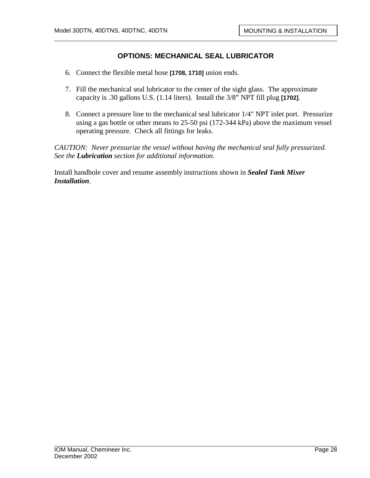# **OPTIONS: MECHANICAL SEAL LUBRICATOR**

- 6. Connect the flexible metal hose **[1708, 1710]** union ends.
- 7. Fill the mechanical seal lubricator to the center of the sight glass. The approximate capacity is .30 gallons U.S. (1.14 liters). Install the 3/8" NPT fill plug **[1702]**.
- 8. Connect a pressure line to the mechanical seal lubricator 1/4" NPT inlet port. Pressurize using a gas bottle or other means to 25-50 psi (172-344 kPa) above the maximum vessel operating pressure. Check all fittings for leaks.

*CAUTION: Never pressurize the vessel without having the mechanical seal fully pressurized. See the Lubrication section for additional information.* 

Install handhole cover and resume assembly instructions shown in *Sealed Tank Mixer Installation*.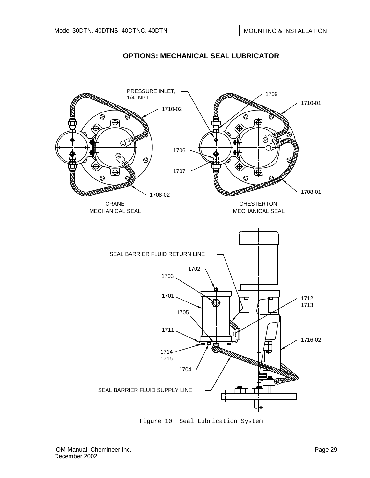

# **OPTIONS: MECHANICAL SEAL LUBRICATOR**



Figure 10: Seal Lubrication System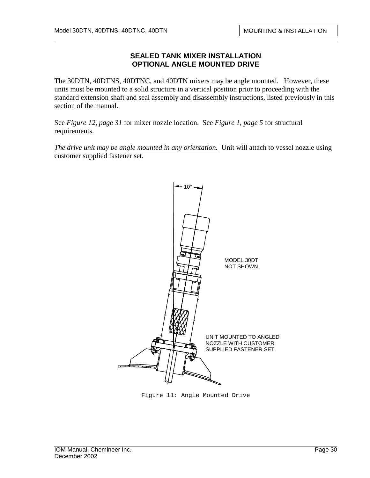### **SEALED TANK MIXER INSTALLATION OPTIONAL ANGLE MOUNTED DRIVE**

The 30DTN, 40DTNS, 40DTNC, and 40DTN mixers may be angle mounted. However, these units must be mounted to a solid structure in a vertical position prior to proceeding with the standard extension shaft and seal assembly and disassembly instructions, listed previously in this section of the manual.

See *Figure 12, page 31* for mixer nozzle location. See *Figure 1, page 5* for structural requirements.

*The drive unit may be angle mounted in any orientation.* Unit will attach to vessel nozzle using customer supplied fastener set.



Figure 11: Angle Mounted Drive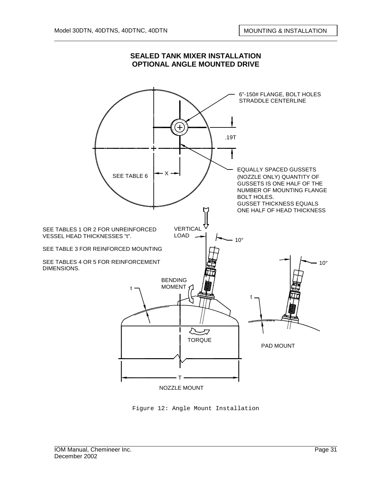

#### **SEALED TANK MIXER INSTALLATION OPTIONAL ANGLE MOUNTED DRIVE**

Figure 12: Angle Mount Installation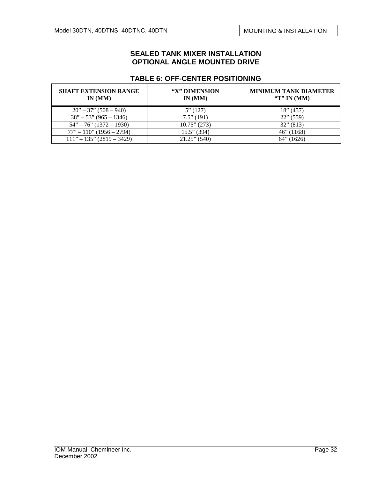#### **SEALED TANK MIXER INSTALLATION OPTIONAL ANGLE MOUNTED DRIVE**

### **TABLE 6: OFF-CENTER POSITIONING**

| <b>SHAFT EXTENSION RANGE</b><br>IN(MM) | "X" DIMENSION<br>IN(MM) | <b>MINIMUM TANK DIAMETER</b><br>"T" IN $(MM)$ |
|----------------------------------------|-------------------------|-----------------------------------------------|
| $20" - 37" (508 - 940)$                | 5''(127)                | 18" (457)                                     |
| $38" - 53" (965 - 1346)$               | $7.5$ " (191)           | $22$ " (559)                                  |
| $54" - 76" (1372 - 1930)$              | $10.75$ " (273)         | $32$ " (813)                                  |
| $77" - 110"$ (1956 – 2794)             | $15.5$ " (394)          | $46$ " (1168)                                 |
| $111" - 135" (2819 - 3429)$            | $21.25$ " (540)         | $64$ " (1626)                                 |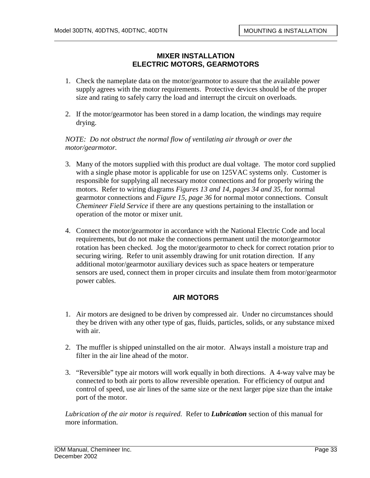# **MIXER INSTALLATION ELECTRIC MOTORS, GEARMOTORS**

- 1. Check the nameplate data on the motor/gearmotor to assure that the available power supply agrees with the motor requirements. Protective devices should be of the proper size and rating to safely carry the load and interrupt the circuit on overloads.
- 2. If the motor/gearmotor has been stored in a damp location, the windings may require drying.

*NOTE: Do not obstruct the normal flow of ventilating air through or over the motor/gearmotor.* 

- 3. Many of the motors supplied with this product are dual voltage. The motor cord supplied with a single phase motor is applicable for use on 125VAC systems only. Customer is responsible for supplying all necessary motor connections and for properly wiring the motors. Refer to wiring diagrams *Figures 13 and 14, pages 34 and 35*, for normal gearmotor connections and *Figure 15, page 36* for normal motor connections. Consult *Chemineer Field Service* if there are any questions pertaining to the installation or operation of the motor or mixer unit.
- 4. Connect the motor/gearmotor in accordance with the National Electric Code and local requirements, but do not make the connections permanent until the motor/gearmotor rotation has been checked. Jog the motor/gearmotor to check for correct rotation prior to securing wiring. Refer to unit assembly drawing for unit rotation direction. If any additional motor/gearmotor auxiliary devices such as space heaters or temperature sensors are used, connect them in proper circuits and insulate them from motor/gearmotor power cables.

# **AIR MOTORS**

- 1. Air motors are designed to be driven by compressed air. Under no circumstances should they be driven with any other type of gas, fluids, particles, solids, or any substance mixed with air.
- 2. The muffler is shipped uninstalled on the air motor. Always install a moisture trap and filter in the air line ahead of the motor.
- 3. "Reversible" type air motors will work equally in both directions. A 4-way valve may be connected to both air ports to allow reversible operation. For efficiency of output and control of speed, use air lines of the same size or the next larger pipe size than the intake port of the motor.

*Lubrication of the air motor is required.* Refer to *Lubrication* section of this manual for more information.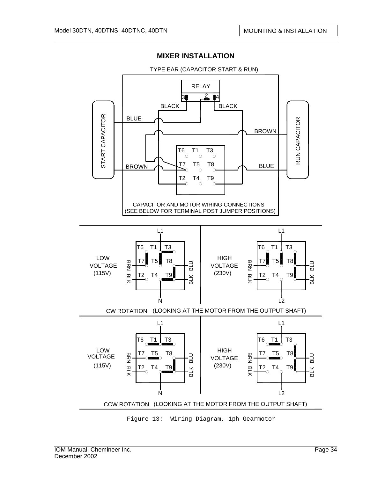

TYPE EAR (CAPACITOR START & RUN)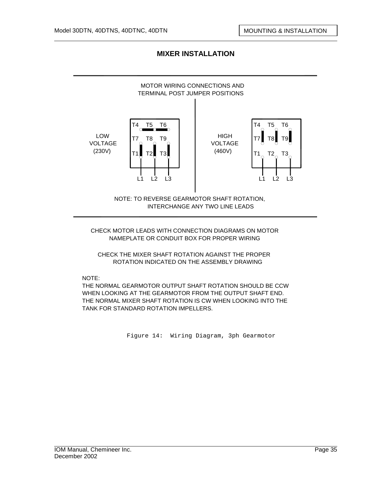

CHECK MOTOR LEADS WITH CONNECTION DIAGRAMS ON MOTOR NAMEPLATE OR CONDUIT BOX FOR PROPER WIRING

CHECK THE MIXER SHAFT ROTATION AGAINST THE PROPER ROTATION INDICATED ON THE ASSEMBLY DRAWING

NOTE:

THE NORMAL GEARMOTOR OUTPUT SHAFT ROTATION SHOULD BE CCW WHEN LOOKING AT THE GEARMOTOR FROM THE OUTPUT SHAFT END. THE NORMAL MIXER SHAFT ROTATION IS CW WHEN LOOKING INTO THE TANK FOR STANDARD ROTATION IMPELLERS.

Figure 14: Wiring Diagram, 3ph Gearmotor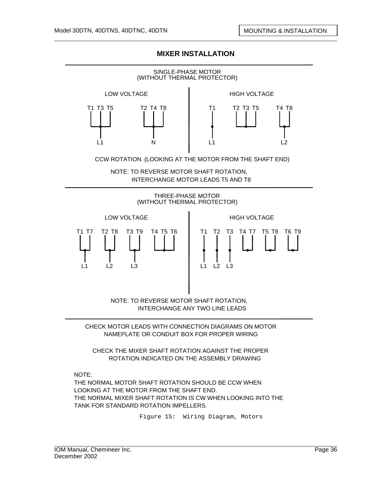

CHECK THE MIXER SHAFT ROTATION AGAINST THE PROPER ROTATION INDICATED ON THE ASSEMBLY DRAWING

NOTE:

THE NORMAL MOTOR SHAFT ROTATION SHOULD BE CCW WHEN LOOKING AT THE MOTOR FROM THE SHAFT END. THE NORMAL MIXER SHAFT ROTATION IS CW WHEN LOOKING INTO THE TANK FOR STANDARD ROTATION IMPELLERS.

Figure 15: Wiring Diagram, Motors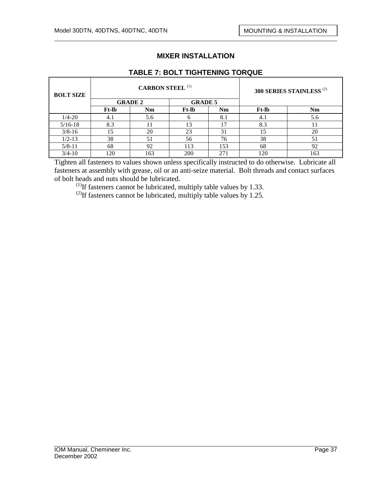| <b>BOLT SIZE</b> |                | <b>CARBON STEEL (1)</b> |                | 300 SERIES STAINLESS <sup>(2)</sup> |              |     |  |
|------------------|----------------|-------------------------|----------------|-------------------------------------|--------------|-----|--|
|                  | <b>GRADE 2</b> |                         | <b>GRADE 5</b> |                                     |              |     |  |
|                  | <b>Ft-lb</b>   | Nm                      | Ft-lb          | Nm                                  | <b>Ft-lb</b> | Nm  |  |
| $1/4 - 20$       | 4.1            | 5.6                     |                | 8.1                                 | 4.1          | 5.6 |  |
| $5/16-18$        | 8.3            |                         | 13             | 17                                  | 8.3          |     |  |
| $3/8 - 16$       | 15             | 20                      | 23             | 31                                  | 15           | 20  |  |
| $1/2 - 13$       | 38             | 51                      | 56             | 76                                  | 38           | 51  |  |
| $5/8 - 11$       | 68             | 92                      | 113            | 153                                 | 68           | 92  |  |
| $3/4 - 10$       | 120            | 163                     | 200            | 271                                 | 120          | 163 |  |

Tighten all fasteners to values shown unless specifically instructed to do otherwise. Lubricate all fasteners at assembly with grease, oil or an anti-seize material. Bolt threads and contact surfaces of bolt heads and nuts should be lubricated.

 $<sup>(1)</sup>$ If fasteners cannot be lubricated, multiply table values by 1.33.</sup>

<sup>(2)</sup>If fasteners cannot be lubricated, multiply table values by 1.25.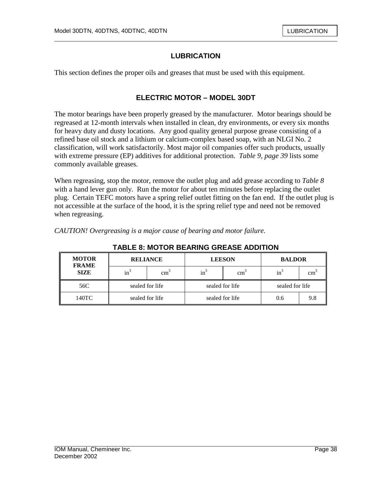# **LUBRICATION**

This section defines the proper oils and greases that must be used with this equipment.

#### **ELECTRIC MOTOR – MODEL 30DT**

The motor bearings have been properly greased by the manufacturer. Motor bearings should be regreased at 12-month intervals when installed in clean, dry environments, or every six months for heavy duty and dusty locations. Any good quality general purpose grease consisting of a refined base oil stock and a lithium or calcium-complex based soap, with an NLGI No. 2 classification, will work satisfactorily. Most major oil companies offer such products, usually with extreme pressure (EP) additives for additional protection. *Table 9, page 39* lists some commonly available greases.

When regreasing, stop the motor, remove the outlet plug and add grease according to *Table 8*  with a hand lever gun only. Run the motor for about ten minutes before replacing the outlet plug. Certain TEFC motors have a spring relief outlet fitting on the fan end. If the outlet plug is not accessible at the surface of the hood, it is the spring relief type and need not be removed when regreasing.

| errorrorn o'rei greusing is a major camse of ocen mg ana motor familie. |  |  |  |
|-------------------------------------------------------------------------|--|--|--|
|                                                                         |  |  |  |
|                                                                         |  |  |  |

*CAUTION! Overgreasing is a major cause of bearing and motor failure.*

| <b>MOTOR</b><br><b>FRAME</b> |                 | <b>RELIANCE</b><br><b>LEESON</b><br><b>BALDOR</b> |        |                 |                 |     |
|------------------------------|-----------------|---------------------------------------------------|--------|-----------------|-----------------|-----|
| <b>SIZE</b>                  | $\text{in}^3$   | $\text{cm}^3$                                     | $in^3$ | cm <sub>1</sub> | $in^3$          | cm  |
| 56C                          | sealed for life |                                                   |        | sealed for life | sealed for life |     |
| 140TC                        | sealed for life |                                                   |        | sealed for life | 0.6             | 9.8 |

**TABLE 8: MOTOR BEARING GREASE ADDITION**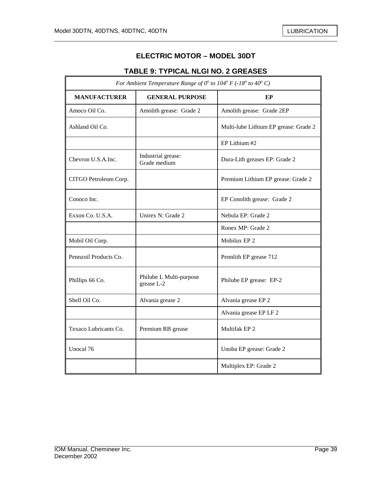$\mathbb{F}$ 

7

# **ELECTRIC MOTOR – MODEL 30DT**

# **TABLE 9: TYPICAL NLGI NO. 2 GREASES**

| For Ambient Temperature Range of $0^{\circ}$ to $104^{\circ}$ F (-18° to 40° C) |                                       |                                       |  |  |
|---------------------------------------------------------------------------------|---------------------------------------|---------------------------------------|--|--|
| <b>MANUFACTURER</b>                                                             | <b>GENERAL PURPOSE</b>                | EP                                    |  |  |
| Amoco Oil Co.                                                                   | Amolith grease: Grade 2               | Amolith grease: Grade 2EP             |  |  |
| Ashland Oil Co.                                                                 |                                       | Multi-lube Lithium EP grease: Grade 2 |  |  |
|                                                                                 |                                       | EP Lithium #2                         |  |  |
| Chevron U.S.A.Inc.                                                              | Industrial grease:<br>Grade medium    | Dura-Lith greases EP: Grade 2         |  |  |
| CITGO Petroleum Corp.                                                           |                                       | Premium Lithium EP grease: Grade 2    |  |  |
| Conoco Inc.                                                                     |                                       | EP Conolith grease: Grade 2           |  |  |
| Exxon Co. U.S.A.                                                                | Unirex N: Grade 2                     | Nebula EP: Grade 2                    |  |  |
|                                                                                 |                                       | Ronex MP: Grade 2                     |  |  |
| Mobil Oil Corp.                                                                 |                                       | Mobilux EP 2                          |  |  |
| Pennzoil Products Co.                                                           |                                       | Pennlith EP grease 712                |  |  |
| Phillips 66 Co.                                                                 | Philube L Multi-purpose<br>grease L-2 | Philube EP grease: EP-2               |  |  |
| Shell Oil Co.                                                                   | Alvania grease 2                      | Alvania grease EP 2                   |  |  |
|                                                                                 |                                       | Alvania grease EP LF 2                |  |  |
| Texaco Lubricants Co.                                                           | Premium RB grease                     | Multifak EP <sub>2</sub>              |  |  |
| Unocal 76                                                                       |                                       | Unoba EP grease: Grade 2              |  |  |
|                                                                                 |                                       | Multiplex EP: Grade 2                 |  |  |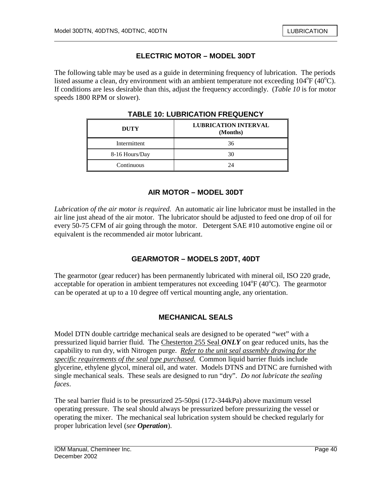# **ELECTRIC MOTOR – MODEL 30DT**

The following table may be used as a guide in determining frequency of lubrication. The periods listed assume a clean, dry environment with an ambient temperature not exceeding  $104^{\circ}F(40^{\circ}C)$ . If conditions are less desirable than this, adjust the frequency accordingly. (*Table 10* is for motor speeds 1800 RPM or slower).

| <b>DUTY</b>    | <b>LUBRICATION INTERVAL</b><br>(Months) |
|----------------|-----------------------------------------|
| Intermittent   | 36                                      |
| 8-16 Hours/Day | 30                                      |
| Continuous     |                                         |

**TABLE 10: LUBRICATION FREQUENCY** 

# **AIR MOTOR – MODEL 30DT**

*Lubrication of the air motor is required.* An automatic air line lubricator must be installed in the air line just ahead of the air motor. The lubricator should be adjusted to feed one drop of oil for every 50-75 CFM of air going through the motor. Detergent SAE #10 automotive engine oil or equivalent is the recommended air motor lubricant.

# **GEARMOTOR – MODELS 20DT, 40DT**

The gearmotor (gear reducer) has been permanently lubricated with mineral oil, ISO 220 grade, acceptable for operation in ambient temperatures not exceeding  $104^{\circ}F(40^{\circ}C)$ . The gearmotor can be operated at up to a 10 degree off vertical mounting angle, any orientation.

# **MECHANICAL SEALS**

Model DTN double cartridge mechanical seals are designed to be operated "wet" with a pressurized liquid barrier fluid. The Chesterton 255 Seal *ONLY* on gear reduced units, has the capability to run dry, with Nitrogen purge. *Refer to the unit seal assembly drawing for the specific requirements of the seal type purchased.* Common liquid barrier fluids include glycerine, ethylene glycol, mineral oil, and water. Models DTNS and DTNC are furnished with single mechanical seals. These seals are designed to run "dry". *Do not lubricate the sealing faces*.

The seal barrier fluid is to be pressurized 25-50psi (172-344kPa) above maximum vessel operating pressure. The seal should always be pressurized before pressurizing the vessel or operating the mixer. The mechanical seal lubrication system should be checked regularly for proper lubrication level (*see Operation*).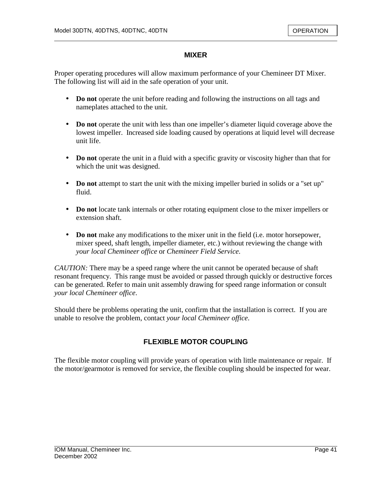### **MIXER**

Proper operating procedures will allow maximum performance of your Chemineer DT Mixer. The following list will aid in the safe operation of your unit.

- **Do not** operate the unit before reading and following the instructions on all tags and nameplates attached to the unit.
- **Do not** operate the unit with less than one impeller's diameter liquid coverage above the lowest impeller. Increased side loading caused by operations at liquid level will decrease unit life.
- **Do not** operate the unit in a fluid with a specific gravity or viscosity higher than that for which the unit was designed.
- **Do not** attempt to start the unit with the mixing impeller buried in solids or a "set up" fluid.
- **Do not** locate tank internals or other rotating equipment close to the mixer impellers or extension shaft.
- **Do not** make any modifications to the mixer unit in the field (i.e. motor horsepower, mixer speed, shaft length, impeller diameter, etc.) without reviewing the change with *your local Chemineer office* or *Chemineer Field Service*.

*CAUTION:* There may be a speed range where the unit cannot be operated because of shaft resonant frequency. This range must be avoided or passed through quickly or destructive forces can be generated. Refer to main unit assembly drawing for speed range information or consult *your local Chemineer office*.

Should there be problems operating the unit, confirm that the installation is correct. If you are unable to resolve the problem, contact *your local Chemineer office*.

# **FLEXIBLE MOTOR COUPLING**

The flexible motor coupling will provide years of operation with little maintenance or repair. If the motor/gearmotor is removed for service, the flexible coupling should be inspected for wear.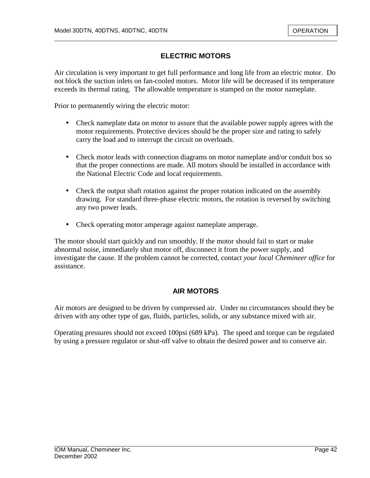# **ELECTRIC MOTORS**

Air circulation is very important to get full performance and long life from an electric motor. Do not block the suction inlets on fan-cooled motors. Motor life will be decreased if its temperature exceeds its thermal rating. The allowable temperature is stamped on the motor nameplate.

Prior to permanently wiring the electric motor:

- Check nameplate data on motor to assure that the available power supply agrees with the motor requirements. Protective devices should be the proper size and rating to safely carry the load and to interrupt the circuit on overloads.
- Check motor leads with connection diagrams on motor nameplate and/or conduit box so that the proper connections are made. All motors should be installed in accordance with the National Electric Code and local requirements.
- Check the output shaft rotation against the proper rotation indicated on the assembly drawing. For standard three-phase electric motors, the rotation is reversed by switching any two power leads.
- Check operating motor amperage against nameplate amperage.

The motor should start quickly and run smoothly. If the motor should fail to start or make abnormal noise, immediately shut motor off, disconnect it from the power supply, and investigate the cause. If the problem cannot be corrected, contact *your local Chemineer office* for assistance.

# **AIR MOTORS**

Air motors are designed to be driven by compressed air. Under no circumstances should they be driven with any other type of gas, fluids, particles, solids, or any substance mixed with air.

Operating pressures should not exceed 100psi (689 kPa). The speed and torque can be regulated by using a pressure regulator or shut-off valve to obtain the desired power and to conserve air.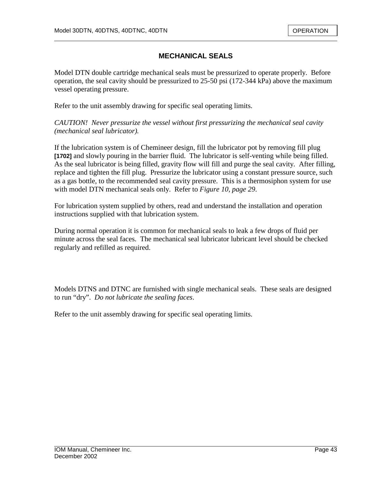# **MECHANICAL SEALS**

Model DTN double cartridge mechanical seals must be pressurized to operate properly. Before operation, the seal cavity should be pressurized to 25-50 psi (172-344 kPa) above the maximum vessel operating pressure.

Refer to the unit assembly drawing for specific seal operating limits.

*CAUTION! Never pressurize the vessel without first pressurizing the mechanical seal cavity (mechanical seal lubricator).*

If the lubrication system is of Chemineer design, fill the lubricator pot by removing fill plug **[1702]** and slowly pouring in the barrier fluid. The lubricator is self-venting while being filled. As the seal lubricator is being filled, gravity flow will fill and purge the seal cavity. After filling, replace and tighten the fill plug. Pressurize the lubricator using a constant pressure source, such as a gas bottle, to the recommended seal cavity pressure. This is a thermosiphon system for use with model DTN mechanical seals only. Refer to *Figure 10, page 29*.

For lubrication system supplied by others, read and understand the installation and operation instructions supplied with that lubrication system.

During normal operation it is common for mechanical seals to leak a few drops of fluid per minute across the seal faces. The mechanical seal lubricator lubricant level should be checked regularly and refilled as required.

Models DTNS and DTNC are furnished with single mechanical seals. These seals are designed to run "dry". *Do not lubricate the sealing faces*.

Refer to the unit assembly drawing for specific seal operating limits.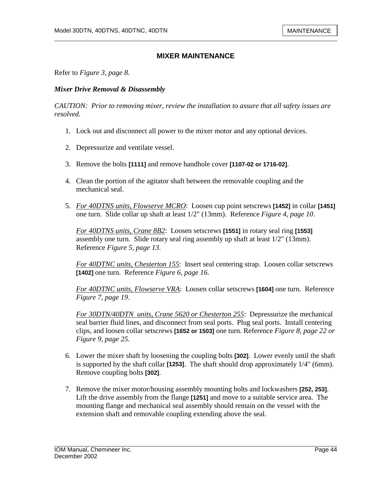Refer to *Figure 3, page 8*.

#### *Mixer Drive Removal & Disassembly*

*CAUTION: Prior to removing mixer, review the installation to assure that all safety issues are resolved.* 

- 1. Lock out and disconnect all power to the mixer motor and any optional devices.
- 2. Depressurize and ventilate vessel.
- 3. Remove the bolts **[1111]** and remove handhole cover **[1107-02 or 1716-02]**.
- 4. Clean the portion of the agitator shaft between the removable coupling and the mechanical seal.
- 5. *For 40DTNS units, Flowserve MCRO*: Loosen cup point setscrews **[1452]** in collar **[1451]** one turn. Slide collar up shaft at least 1/2" (13mm). Reference *Figure 4, page 10*.

*For 40DTNS units, Crane 8B2*: Loosen setscrews **[1551]** in rotary seal ring **[1553]** assembly one turn. Slide rotary seal ring assembly up shaft at least 1/2" (13mm). Reference *Figure 5, page 13*.

*For 40DTNC units, Chesterton 155*: Insert seal centering strap. Loosen collar setscrews **[1402]** one turn. Reference *Figure 6, page 16*.

*For 40DTNC units, Flowserve VRA*: Loosen collar setscrews **[1604]** one turn. Reference *Figure 7, page 19*.

*For 30DTN/40DTN units, Crane 5620 or Chesterton 255*: Depressurize the mechanical seal barrier fluid lines, and disconnect from seal ports. Plug seal ports. Install centering clips, and loosen collar setscrews **[1652 or 1503]** one turn. Reference *Figure 8, page 22 or Figure 9, page 25.*

- 6. Lower the mixer shaft by loosening the coupling bolts **[302]**. Lower evenly until the shaft is supported by the shaft collar **[1253]**. The shaft should drop approximately 1/4" (6mm). Remove coupling bolts **[302]**.
- 7. Remove the mixer motor/housing assembly mounting bolts and lockwashers **[252, 253]**. Lift the drive assembly from the flange **[1251]** and move to a suitable service area. The mounting flange and mechanical seal assembly should remain on the vessel with the extension shaft and removable coupling extending above the seal.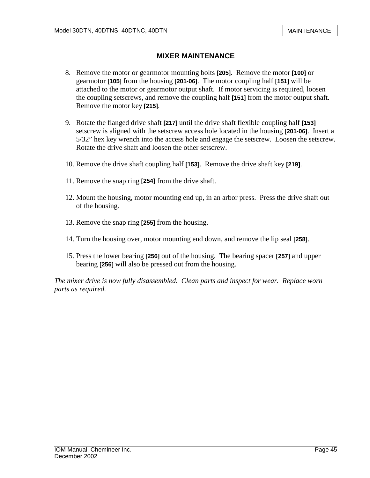- 8. Remove the motor or gearmotor mounting bolts **[205]**. Remove the motor **[100]** or gearmotor **[105]** from the housing **[201-06]**. The motor coupling half **[151]** will be attached to the motor or gearmotor output shaft. If motor servicing is required, loosen the coupling setscrews, and remove the coupling half **[151]** from the motor output shaft. Remove the motor key **[215]**.
- 9. Rotate the flanged drive shaft **[217]** until the drive shaft flexible coupling half **[153]**  setscrew is aligned with the setscrew access hole located in the housing **[201-06]**. Insert a 5/32" hex key wrench into the access hole and engage the setscrew. Loosen the setscrew. Rotate the drive shaft and loosen the other setscrew.
- 10. Remove the drive shaft coupling half **[153]**. Remove the drive shaft key **[219]**.
- 11. Remove the snap ring **[254]** from the drive shaft.
- 12. Mount the housing, motor mounting end up, in an arbor press. Press the drive shaft out of the housing.
- 13. Remove the snap ring **[255]** from the housing.
- 14. Turn the housing over, motor mounting end down, and remove the lip seal **[258]**.
- 15. Press the lower bearing **[256]** out of the housing. The bearing spacer **[257]** and upper bearing **[256]** will also be pressed out from the housing.

*The mixer drive is now fully disassembled. Clean parts and inspect for wear. Replace worn parts as required.*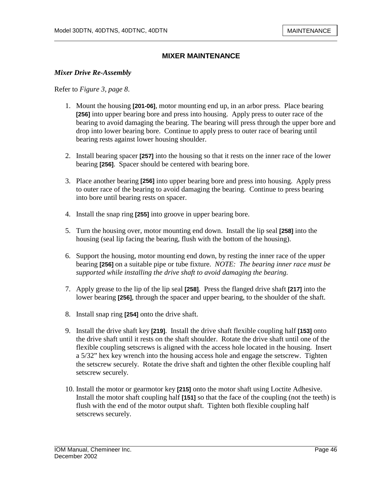#### *Mixer Drive Re-Assembly*

Refer to *Figure 3, page 8*.

- 1. Mount the housing **[201-06]**, motor mounting end up, in an arbor press. Place bearing **[256]** into upper bearing bore and press into housing. Apply press to outer race of the bearing to avoid damaging the bearing. The bearing will press through the upper bore and drop into lower bearing bore. Continue to apply press to outer race of bearing until bearing rests against lower housing shoulder.
- 2. Install bearing spacer **[257]** into the housing so that it rests on the inner race of the lower bearing **[256]**. Spacer should be centered with bearing bore.
- 3. Place another bearing **[256]** into upper bearing bore and press into housing. Apply press to outer race of the bearing to avoid damaging the bearing. Continue to press bearing into bore until bearing rests on spacer.
- 4. Install the snap ring **[255]** into groove in upper bearing bore.
- 5. Turn the housing over, motor mounting end down. Install the lip seal **[258]** into the housing (seal lip facing the bearing, flush with the bottom of the housing).
- 6. Support the housing, motor mounting end down, by resting the inner race of the upper bearing **[256]** on a suitable pipe or tube fixture. *NOTE: The bearing inner race must be supported while installing the drive shaft to avoid damaging the bearing.*
- 7. Apply grease to the lip of the lip seal **[258]**. Press the flanged drive shaft **[217]** into the lower bearing **[256]**, through the spacer and upper bearing, to the shoulder of the shaft.
- 8. Install snap ring **[254]** onto the drive shaft.
- 9. Install the drive shaft key **[219]**. Install the drive shaft flexible coupling half **[153]** onto the drive shaft until it rests on the shaft shoulder. Rotate the drive shaft until one of the flexible coupling setscrews is aligned with the access hole located in the housing. Insert a 5/32" hex key wrench into the housing access hole and engage the setscrew. Tighten the setscrew securely. Rotate the drive shaft and tighten the other flexible coupling half setscrew securely.
- 10. Install the motor or gearmotor key **[215]** onto the motor shaft using Loctite Adhesive. Install the motor shaft coupling half **[151]** so that the face of the coupling (not the teeth) is flush with the end of the motor output shaft. Tighten both flexible coupling half setscrews securely.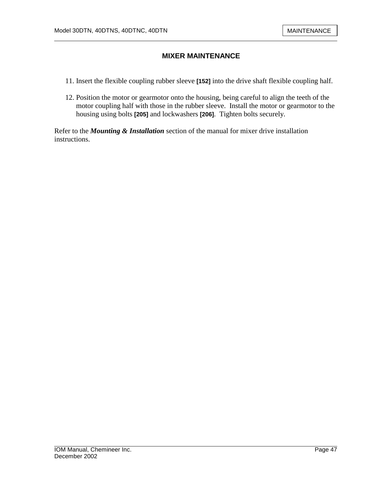- 11. Insert the flexible coupling rubber sleeve **[152]** into the drive shaft flexible coupling half.
- 12. Position the motor or gearmotor onto the housing, being careful to align the teeth of the motor coupling half with those in the rubber sleeve. Install the motor or gearmotor to the housing using bolts **[205]** and lockwashers **[206]**. Tighten bolts securely.

Refer to the *Mounting & Installation* section of the manual for mixer drive installation instructions.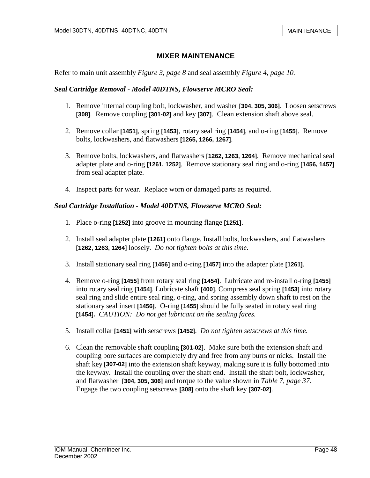Refer to main unit assembly *Figure 3, page 8* and seal assembly *Figure 4, page 10.*

#### *Seal Cartridge Removal - Model 40DTNS, Flowserve MCRO Seal:*

- 1. Remove internal coupling bolt, lockwasher, and washer **[304, 305, 306]**. Loosen setscrews **[308]**. Remove coupling **[301-02]** and key **[307]**. Clean extension shaft above seal.
- 2. Remove collar **[1451]**, spring **[1453]**, rotary seal ring **[1454]**, and o-ring **[1455]**. Remove bolts, lockwashers, and flatwashers **[1265, 1266, 1267]**.
- 3. Remove bolts, lockwashers, and flatwashers **[1262, 1263, 1264]**. Remove mechanical seal adapter plate and o-ring **[1261, 1252]**. Remove stationary seal ring and o-ring **[1456, 1457]** from seal adapter plate.
- 4. Inspect parts for wear. Replace worn or damaged parts as required.

#### *Seal Cartridge Installation - Model 40DTNS, Flowserve MCRO Seal:*

- 1. Place o-ring **[1252]** into groove in mounting flange **[1251]**.
- 2. Install seal adapter plate **[1261]** onto flange. Install bolts, lockwashers, and flatwashers **[1262, 1263, 1264]** loosely. *Do not tighten bolts at this time.*
- 3. Install stationary seal ring **[1456]** and o-ring **[1457]** into the adapter plate **[1261]**.
- 4. Remove o-ring **[1455]** from rotary seal ring **[1454]**. Lubricate and re-install o-ring **[1455]** into rotary seal ring **[1454]**. Lubricate shaft **[400]**. Compress seal spring **[1453]** into rotary seal ring and slide entire seal ring, o-ring, and spring assembly down shaft to rest on the stationary seal insert **[1456]**. O-ring **[1455]** should be fully seated in rotary seal ring **[1454].** *CAUTION: Do not get lubricant on the sealing faces.*
- 5. Install collar **[1451]** with setscrews **[1452]**. *Do not tighten setscrews at this time.*
- 6. Clean the removable shaft coupling **[301-02]**. Make sure both the extension shaft and coupling bore surfaces are completely dry and free from any burrs or nicks. Install the shaft key **[307-02]** into the extension shaft keyway, making sure it is fully bottomed into the keyway. Install the coupling over the shaft end. Install the shaft bolt, lockwasher, and flatwasher **[304, 305, 306]** and torque to the value shown in *Table 7, page 37.*  Engage the two coupling setscrews **[308]** onto the shaft key **[307-02]**.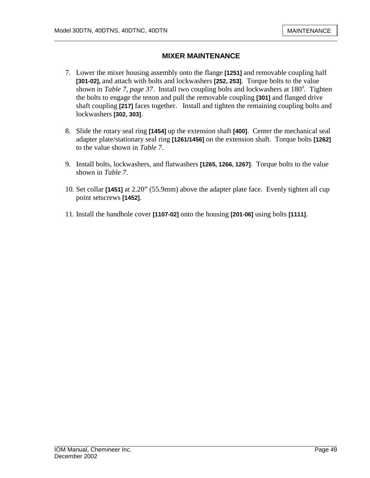- 7. Lower the mixer housing assembly onto the flange **[1251]** and removable coupling half **[301-02],** and attach with bolts and lockwashers **[252, 253]**. Torque bolts to the value shown in *Table 7, page 37*. Install two coupling bolts and lockwashers at  $180^\circ$ . Tighten the bolts to engage the tenon and pull the removable coupling **[301]** and flanged drive shaft coupling **[217]** faces together. Install and tighten the remaining coupling bolts and lockwashers **[302, 303]**.
- 8. Slide the rotary seal ring **[1454]** up the extension shaft **[400]**. Center the mechanical seal adapter plate/stationary seal ring **[1261/1456]** on the extension shaft. Torque bolts **[1262]** to the value shown in *Table 7*.
- 9. Install bolts, lockwashers, and flatwashers **[1265, 1266, 1267]**. Torque bolts to the value shown in *Table 7*.
- 10. Set collar **[1451]** at 2.20" (55.9mm) above the adapter plate face. Evenly tighten all cup point setscrews **[1452]**.
- 11. Install the handhole cover **[1107-02]** onto the housing **[201-06]** using bolts **[1111]**.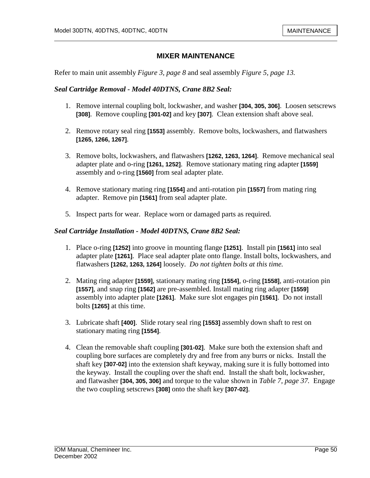Refer to main unit assembly *Figure 3, page 8* and seal assembly *Figure 5, page 13.*

#### *Seal Cartridge Removal - Model 40DTNS, Crane 8B2 Seal:*

- 1. Remove internal coupling bolt, lockwasher, and washer **[304, 305, 306]**. Loosen setscrews **[308]**. Remove coupling **[301-02]** and key **[307]**. Clean extension shaft above seal.
- 2. Remove rotary seal ring **[1553]** assembly. Remove bolts, lockwashers, and flatwashers **[1265, 1266, 1267]**.
- 3. Remove bolts, lockwashers, and flatwashers **[1262, 1263, 1264]**. Remove mechanical seal adapter plate and o-ring **[1261, 1252]**. Remove stationary mating ring adapter **[1559]** assembly and o-ring **[1560]** from seal adapter plate.
- 4. Remove stationary mating ring **[1554]** and anti-rotation pin **[1557]** from mating ring adapter. Remove pin **[1561]** from seal adapter plate.
- 5. Inspect parts for wear. Replace worn or damaged parts as required.

#### *Seal Cartridge Installation - Model 40DTNS, Crane 8B2 Seal:*

- 1. Place o-ring **[1252]** into groove in mounting flange **[1251]**. Install pin **[1561]** into seal adapter plate **[1261]**. Place seal adapter plate onto flange. Install bolts, lockwashers, and flatwashers **[1262, 1263, 1264]** loosely. *Do not tighten bolts at this time.*
- 2. Mating ring adapter **[1559]**, stationary mating ring **[1554]**, o-ring **[1558]**, anti-rotation pin **[1557]**, and snap ring **[1562]** are pre-assembled. Install mating ring adapter **[1559]** assembly into adapter plate **[1261]**. Make sure slot engages pin **[1561]**. Do not install bolts **[1265]** at this time.
- 3. Lubricate shaft **[400]**. Slide rotary seal ring **[1553]** assembly down shaft to rest on stationary mating ring **[1554]**.
- 4. Clean the removable shaft coupling **[301-02]**. Make sure both the extension shaft and coupling bore surfaces are completely dry and free from any burrs or nicks. Install the shaft key **[307-02]** into the extension shaft keyway, making sure it is fully bottomed into the keyway. Install the coupling over the shaft end. Install the shaft bolt, lockwasher, and flatwasher **[304, 305, 306]** and torque to the value shown in *Table 7, page 37.* Engage the two coupling setscrews **[308]** onto the shaft key **[307-02]**.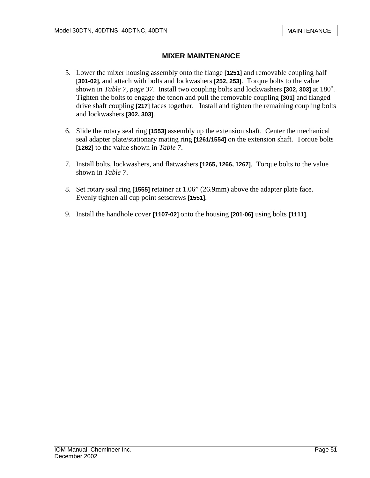- 5. Lower the mixer housing assembly onto the flange **[1251]** and removable coupling half **[301-02],** and attach with bolts and lockwashers **[252, 253]**. Torque bolts to the value shown in *Table 7, page 37*. Install two coupling bolts and lockwashers **[302, 303]** at 180<sup>°</sup>. Tighten the bolts to engage the tenon and pull the removable coupling **[301]** and flanged drive shaft coupling **[217]** faces together. Install and tighten the remaining coupling bolts and lockwashers **[302, 303]**.
- 6. Slide the rotary seal ring **[1553]** assembly up the extension shaft. Center the mechanical seal adapter plate/stationary mating ring **[1261/1554]** on the extension shaft. Torque bolts **[1262]** to the value shown in *Table 7*.
- 7. Install bolts, lockwashers, and flatwashers **[1265, 1266, 1267]**. Torque bolts to the value shown in *Table 7*.
- 8. Set rotary seal ring **[1555]** retainer at 1.06" (26.9mm) above the adapter plate face. Evenly tighten all cup point setscrews **[1551]**.
- 9. Install the handhole cover **[1107-02]** onto the housing **[201-06]** using bolts **[1111]**.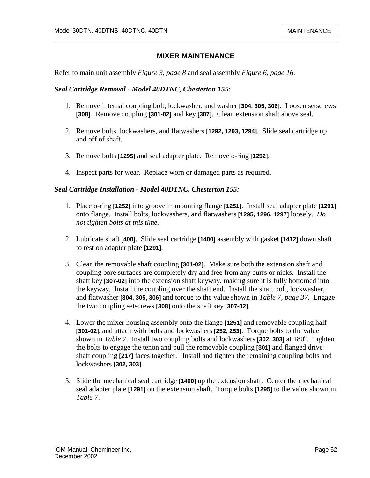Refer to main unit assembly *Figure 3, page 8* and seal assembly *Figure 6, page 16.*

#### *Seal Cartridge Removal - Model 40DTNC, Chesterton 155:*

- 1. Remove internal coupling bolt, lockwasher, and washer **[304, 305, 306]**. Loosen setscrews **[308]**. Remove coupling **[301-02]** and key **[307]**. Clean extension shaft above seal.
- 2. Remove bolts, lockwashers, and flatwashers **[1292, 1293, 1294]**. Slide seal cartridge up and off of shaft.
- 3. Remove bolts **[1295]** and seal adapter plate. Remove o-ring **[1252]**.
- 4. Inspect parts for wear. Replace worn or damaged parts as required.

#### *Seal Cartridge Installation - Model 40DTNC, Chesterton 155:*

- 1. Place o-ring **[1252]** into groove in mounting flange **[1251]**. Install seal adapter plate **[1291]** onto flange. Install bolts, lockwashers, and flatwashers **[1295, 1296, 1297]** loosely. *Do not tighten bolts at this time.*
- 2. Lubricate shaft **[400]**. Slide seal cartridge **[1400]** assembly with gasket **[1412]** down shaft to rest on adapter plate **[1291]**.
- 3. Clean the removable shaft coupling **[301-02]**. Make sure both the extension shaft and coupling bore surfaces are completely dry and free from any burrs or nicks. Install the shaft key **[307-02]** into the extension shaft keyway, making sure it is fully bottomed into the keyway. Install the coupling over the shaft end. Install the shaft bolt, lockwasher, and flatwasher **[304, 305, 306]** and torque to the value shown in *Table 7, page 37.* Engage the two coupling setscrews **[308]** onto the shaft key **[307-02]**.
- 4. Lower the mixer housing assembly onto the flange **[1251]** and removable coupling half **[301-02],** and attach with bolts and lockwashers **[252, 253]**. Torque bolts to the value shown in *Table 7*. Install two coupling bolts and lockwashers [302, 303] at 180<sup>°</sup>. Tighten the bolts to engage the tenon and pull the removable coupling **[301]** and flanged drive shaft coupling **[217]** faces together. Install and tighten the remaining coupling bolts and lockwashers **[302, 303]**.
- 5. Slide the mechanical seal cartridge **[1400]** up the extension shaft. Center the mechanical seal adapter plate **[1291]** on the extension shaft. Torque bolts **[1295]** to the value shown in *Table 7*.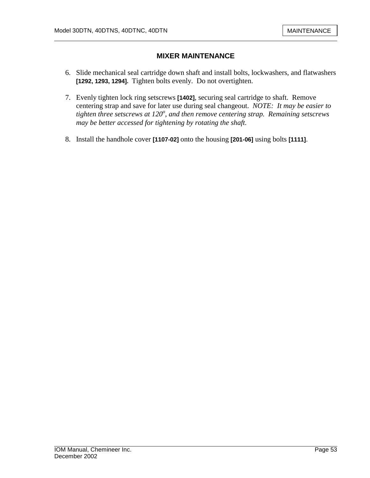- 6. Slide mechanical seal cartridge down shaft and install bolts, lockwashers, and flatwashers **[1292, 1293, 1294].** Tighten bolts evenly. Do not overtighten.
- 7. Evenly tighten lock ring setscrews **[1402]**, securing seal cartridge to shaft. Remove centering strap and save for later use during seal changeout. *NOTE: It may be easier to tighten three setscrews at 120<sup>o</sup> , and then remove centering strap. Remaining setscrews may be better accessed for tightening by rotating the shaft.*
- 8. Install the handhole cover **[1107-02]** onto the housing **[201-06]** using bolts **[1111]**.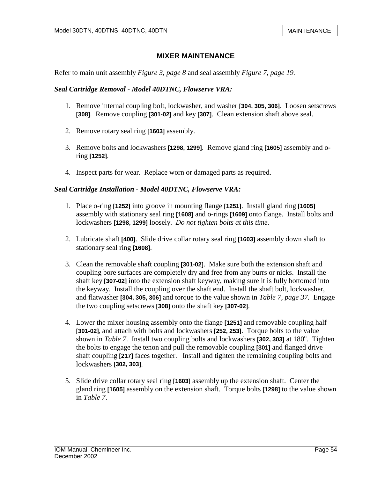Refer to main unit assembly *Figure 3, page 8* and seal assembly *Figure 7, page 19.*

#### *Seal Cartridge Removal - Model 40DTNC, Flowserve VRA:*

- 1. Remove internal coupling bolt, lockwasher, and washer **[304, 305, 306]**. Loosen setscrews **[308]**. Remove coupling **[301-02]** and key **[307]**. Clean extension shaft above seal.
- 2. Remove rotary seal ring **[1603]** assembly.
- 3. Remove bolts and lockwashers **[1298, 1299]**. Remove gland ring **[1605]** assembly and oring **[1252]**.
- 4. Inspect parts for wear. Replace worn or damaged parts as required.

#### *Seal Cartridge Installation - Model 40DTNC, Flowserve VRA:*

- 1. Place o-ring **[1252]** into groove in mounting flange **[1251]**. Install gland ring **[1605]**  assembly with stationary seal ring **[1608]** and o-rings **[1609]** onto flange. Install bolts and lockwashers **[1298, 1299]** loosely. *Do not tighten bolts at this time.*
- 2. Lubricate shaft **[400]**. Slide drive collar rotary seal ring **[1603]** assembly down shaft to stationary seal ring **[1608]**.
- 3. Clean the removable shaft coupling **[301-02]**. Make sure both the extension shaft and coupling bore surfaces are completely dry and free from any burrs or nicks. Install the shaft key **[307-02]** into the extension shaft keyway, making sure it is fully bottomed into the keyway. Install the coupling over the shaft end. Install the shaft bolt, lockwasher, and flatwasher **[304, 305, 306]** and torque to the value shown in *Table 7, page 37.* Engage the two coupling setscrews **[308]** onto the shaft key **[307-02]**.
- 4. Lower the mixer housing assembly onto the flange **[1251]** and removable coupling half **[301-02],** and attach with bolts and lockwashers **[252, 253]**. Torque bolts to the value shown in *Table 7*. Install two coupling bolts and lockwashers [302, 303] at 180<sup>°</sup>. Tighten the bolts to engage the tenon and pull the removable coupling **[301]** and flanged drive shaft coupling **[217]** faces together. Install and tighten the remaining coupling bolts and lockwashers **[302, 303]**.
- 5. Slide drive collar rotary seal ring **[1603]** assembly up the extension shaft. Center the gland ring **[1605]** assembly on the extension shaft. Torque bolts **[1298]** to the value shown in *Table 7*.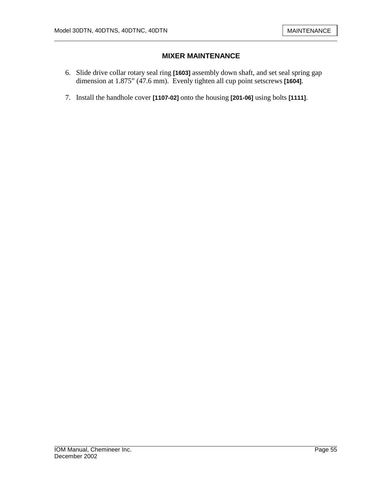- 6. Slide drive collar rotary seal ring **[1603]** assembly down shaft, and set seal spring gap dimension at 1.875" (47.6 mm). Evenly tighten all cup point setscrews **[1604]**.
- 7. Install the handhole cover **[1107-02]** onto the housing **[201-06]** using bolts **[1111]**.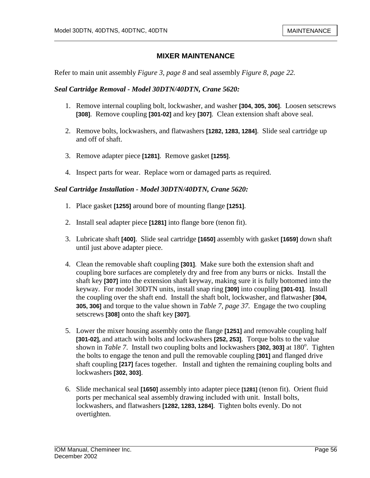Refer to main unit assembly *Figure 3, page 8* and seal assembly *Figure 8, page 22.*

#### *Seal Cartridge Removal - Model 30DTN/40DTN, Crane 5620:*

- 1. Remove internal coupling bolt, lockwasher, and washer **[304, 305, 306]**. Loosen setscrews **[308]**. Remove coupling **[301-02]** and key **[307]**. Clean extension shaft above seal.
- 2. Remove bolts, lockwashers, and flatwashers **[1282, 1283, 1284]**. Slide seal cartridge up and off of shaft.
- 3. Remove adapter piece **[1281]**. Remove gasket **[1255]**.
- 4. Inspect parts for wear. Replace worn or damaged parts as required.

#### *Seal Cartridge Installation - Model 30DTN/40DTN, Crane 5620:*

- 1. Place gasket **[1255]** around bore of mounting flange **[1251]**.
- 2. Install seal adapter piece **[1281]** into flange bore (tenon fit).
- 3. Lubricate shaft **[400]**. Slide seal cartridge **[1650]** assembly with gasket **[1659]** down shaft until just above adapter piece.
- 4. Clean the removable shaft coupling **[301]**. Make sure both the extension shaft and coupling bore surfaces are completely dry and free from any burrs or nicks. Install the shaft key **[307]** into the extension shaft keyway, making sure it is fully bottomed into the keyway. For model 30DTN units, install snap ring **[309]** into coupling **[301-01]**. Install the coupling over the shaft end. Install the shaft bolt, lockwasher, and flatwasher **[304, 305, 306]** and torque to the value shown in *Table 7, page 37.* Engage the two coupling setscrews **[308]** onto the shaft key **[307]**.
- 5. Lower the mixer housing assembly onto the flange **[1251]** and removable coupling half **[301-02],** and attach with bolts and lockwashers **[252, 253]**. Torque bolts to the value shown in *Table 7*. Install two coupling bolts and lockwashers [302, 303] at 180<sup>°</sup>. Tighten the bolts to engage the tenon and pull the removable coupling **[301]** and flanged drive shaft coupling **[217]** faces together. Install and tighten the remaining coupling bolts and lockwashers **[302, 303]**.
- 6. Slide mechanical seal **[1650]** assembly into adapter piece **[1281]** (tenon fit). Orient fluid ports per mechanical seal assembly drawing included with unit. Install bolts, lockwashers, and flatwashers **[1282, 1283, 1284]**. Tighten bolts evenly. Do not overtighten.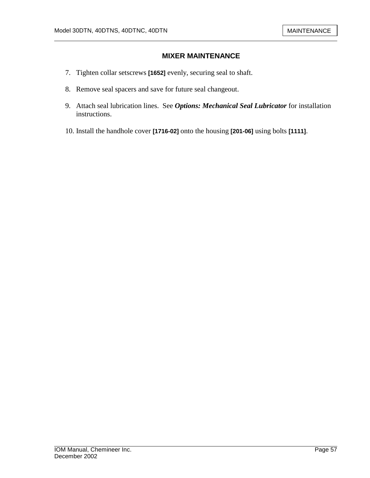- 7. Tighten collar setscrews **[1652]** evenly, securing seal to shaft.
- 8. Remove seal spacers and save for future seal changeout.
- 9. Attach seal lubrication lines. See *Options: Mechanical Seal Lubricator* for installation instructions.
- 10. Install the handhole cover **[1716-02]** onto the housing **[201-06]** using bolts **[1111]**.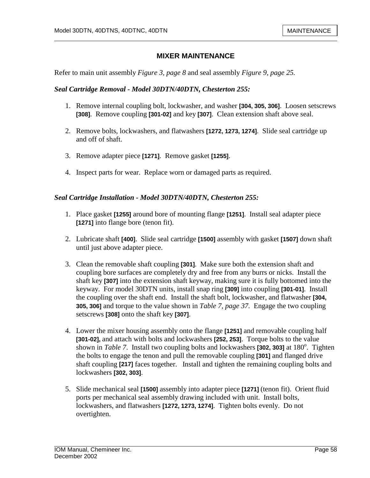Refer to main unit assembly *Figure 3, page 8* and seal assembly *Figure 9, page 25.*

#### *Seal Cartridge Removal - Model 30DTN/40DTN, Chesterton 255:*

- 1. Remove internal coupling bolt, lockwasher, and washer **[304, 305, 306]**. Loosen setscrews **[308]**. Remove coupling **[301-02]** and key **[307]**. Clean extension shaft above seal.
- 2. Remove bolts, lockwashers, and flatwashers **[1272, 1273, 1274]**. Slide seal cartridge up and off of shaft.
- 3. Remove adapter piece **[1271]**. Remove gasket **[1255]**.
- 4. Inspect parts for wear. Replace worn or damaged parts as required.

#### *Seal Cartridge Installation - Model 30DTN/40DTN, Chesterton 255:*

- 1. Place gasket **[1255]** around bore of mounting flange **[1251]**. Install seal adapter piece **[1271]** into flange bore (tenon fit).
- 2. Lubricate shaft **[400]**. Slide seal cartridge **[1500]** assembly with gasket **[1507]** down shaft until just above adapter piece.
- 3. Clean the removable shaft coupling **[301]**. Make sure both the extension shaft and coupling bore surfaces are completely dry and free from any burrs or nicks. Install the shaft key **[307]** into the extension shaft keyway, making sure it is fully bottomed into the keyway. For model 30DTN units, install snap ring **[309]** into coupling **[301-01]**. Install the coupling over the shaft end. Install the shaft bolt, lockwasher, and flatwasher **[304, 305, 306]** and torque to the value shown in *Table 7, page 37.* Engage the two coupling setscrews **[308]** onto the shaft key **[307]**.
- 4. Lower the mixer housing assembly onto the flange **[1251]** and removable coupling half **[301-02],** and attach with bolts and lockwashers **[252, 253]**. Torque bolts to the value shown in *Table 7*. Install two coupling bolts and lockwashers [302, 303] at 180<sup>°</sup>. Tighten the bolts to engage the tenon and pull the removable coupling **[301]** and flanged drive shaft coupling **[217]** faces together. Install and tighten the remaining coupling bolts and lockwashers **[302, 303]**.
- 5. Slide mechanical seal **[1500]** assembly into adapter piece **[1271]** (tenon fit). Orient fluid ports per mechanical seal assembly drawing included with unit. Install bolts, lockwashers, and flatwashers **[1272, 1273, 1274]**. Tighten bolts evenly. Do not overtighten.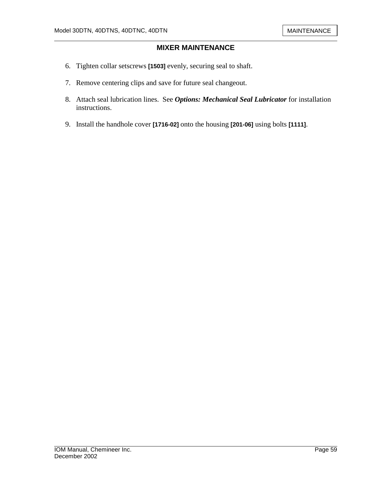- 6. Tighten collar setscrews **[1503]** evenly, securing seal to shaft.
- 7. Remove centering clips and save for future seal changeout.
- 8. Attach seal lubrication lines. See *Options: Mechanical Seal Lubricator* for installation instructions.
- 9. Install the handhole cover **[1716-02]** onto the housing **[201-06]** using bolts **[1111]**.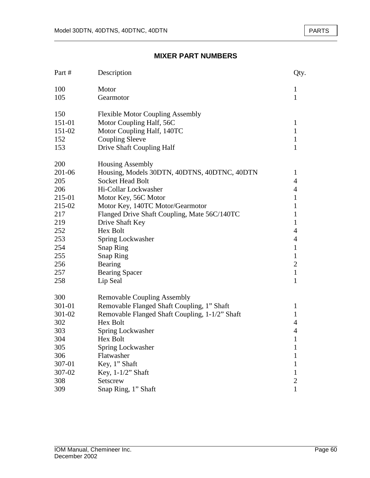| Part # | Description                                    | Qty.           |
|--------|------------------------------------------------|----------------|
| 100    | Motor                                          | 1              |
| 105    | Gearmotor                                      | 1              |
| 150    | <b>Flexible Motor Coupling Assembly</b>        |                |
| 151-01 | Motor Coupling Half, 56C                       | $\mathbf{1}$   |
| 151-02 | Motor Coupling Half, 140TC                     | $\mathbf{1}$   |
| 152    | <b>Coupling Sleeve</b>                         | 1              |
| 153    | Drive Shaft Coupling Half                      | $\mathbf{1}$   |
| 200    | <b>Housing Assembly</b>                        |                |
| 201-06 | Housing, Models 30DTN, 40DTNS, 40DTNC, 40DTN   | $\mathbf{1}$   |
| 205    | <b>Socket Head Bolt</b>                        | 4              |
| 206    | Hi-Collar Lockwasher                           | 4              |
| 215-01 | Motor Key, 56C Motor                           | 1              |
| 215-02 | Motor Key, 140TC Motor/Gearmotor               | $\mathbf{1}$   |
| 217    | Flanged Drive Shaft Coupling, Mate 56C/140TC   | $\mathbf{1}$   |
| 219    | Drive Shaft Key                                | $\mathbf{1}$   |
| 252    | <b>Hex Bolt</b>                                | 4              |
| 253    | Spring Lockwasher                              | $\overline{4}$ |
| 254    | <b>Snap Ring</b>                               | $\mathbf{1}$   |
| 255    | <b>Snap Ring</b>                               | $\mathbf{1}$   |
| 256    | Bearing                                        | $\mathbf{2}$   |
| 257    | <b>Bearing Spacer</b>                          | $\mathbf{1}$   |
| 258    | Lip Seal                                       | $\mathbf{1}$   |
| 300    | <b>Removable Coupling Assembly</b>             |                |
| 301-01 | Removable Flanged Shaft Coupling, 1" Shaft     | 1              |
| 301-02 | Removable Flanged Shaft Coupling, 1-1/2" Shaft | $\mathbf{1}$   |
| 302    | Hex Bolt                                       | 4              |
| 303    | Spring Lockwasher                              | 4              |
| 304    | Hex Bolt                                       | 1              |
| 305    | Spring Lockwasher                              | 1              |
| 306    | Flatwasher                                     | 1              |
| 307-01 | Key, 1" Shaft                                  | 1              |
| 307-02 | Key, 1-1/2" Shaft                              | 1              |
| 308    | Setscrew                                       | 2              |
| 309    | Snap Ring, 1" Shaft                            | 1              |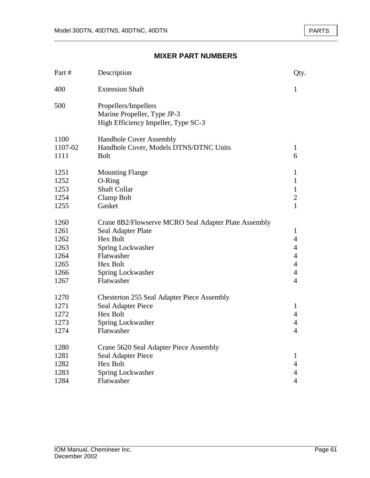| Part #  | Description                                                                                | Qty.           |
|---------|--------------------------------------------------------------------------------------------|----------------|
| 400     | <b>Extension Shaft</b>                                                                     | 1              |
| 500     | Propellers/Impellers<br>Marine Propeller, Type JP-3<br>High Efficiency Impeller, Type SC-3 |                |
| 1100    | <b>Handhole Cover Assembly</b>                                                             |                |
| 1107-02 | Handhole Cover, Models DTNS/DTNC Units                                                     | $\mathbf{1}$   |
| 1111    | <b>Bolt</b>                                                                                | 6              |
| 1251    | <b>Mounting Flange</b>                                                                     | $\mathbf{1}$   |
| 1252    | O-Ring                                                                                     | 1              |
| 1253    | <b>Shaft Collar</b>                                                                        | 1              |
| 1254    | Clamp Bolt                                                                                 | $\overline{c}$ |
| 1255    | Gasket                                                                                     | $\mathbf{1}$   |
| 1260    | Crane 8B2/Flowserve MCRO Seal Adapter Plate Assembly                                       |                |
| 1261    | Seal Adapter Plate                                                                         | 1              |
| 1262    | Hex Bolt                                                                                   | $\overline{4}$ |
| 1263    | Spring Lockwasher                                                                          | $\overline{4}$ |
| 1264    | Flatwasher                                                                                 | $\overline{4}$ |
| 1265    | Hex Bolt                                                                                   | $\overline{4}$ |
| 1266    | Spring Lockwasher                                                                          | $\overline{4}$ |
| 1267    | Flatwasher                                                                                 | $\overline{4}$ |
| 1270    | <b>Chesterton 255 Seal Adapter Piece Assembly</b>                                          |                |
| 1271    | Seal Adapter Piece                                                                         | 1              |
| 1272    | Hex Bolt                                                                                   | $\overline{4}$ |
| 1273    | Spring Lockwasher                                                                          | $\overline{4}$ |
| 1274    | Flatwasher                                                                                 | $\overline{4}$ |
| 1280    | Crane 5620 Seal Adapter Piece Assembly                                                     |                |
| 1281    | Seal Adapter Piece                                                                         | $\mathbf{1}$   |
| 1282    | <b>Hex Bolt</b>                                                                            | 4              |
| 1283    | Spring Lockwasher                                                                          | 4              |
| 1284    | Flatwasher                                                                                 | $\overline{4}$ |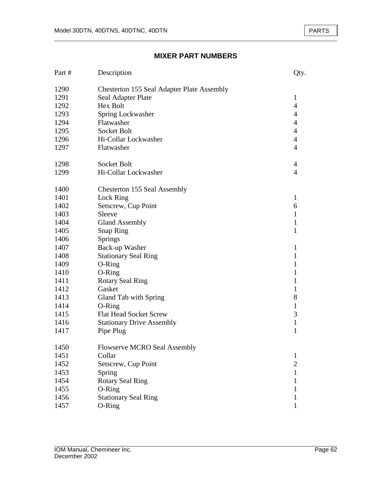| Part # | Description                                       | Qty.           |
|--------|---------------------------------------------------|----------------|
| 1290   | <b>Chesterton 155 Seal Adapter Plate Assembly</b> |                |
| 1291   | Seal Adapter Plate                                | $\mathbf{1}$   |
| 1292   | <b>Hex Bolt</b>                                   | $\overline{4}$ |
| 1293   | Spring Lockwasher                                 | 4              |
| 1294   | Flatwasher                                        | $\overline{4}$ |
| 1295   | Socket Bolt                                       | $\overline{4}$ |
| 1296   | Hi-Collar Lockwasher                              | $\overline{4}$ |
| 1297   | Flatwasher                                        | $\overline{4}$ |
| 1298   | Socket Bolt                                       | 4              |
| 1299   | Hi-Collar Lockwasher                              | $\overline{4}$ |
| 1400   | Chesterton 155 Seal Assembly                      |                |
| 1401   | Lock Ring                                         | $\mathbf{1}$   |
| 1402   | Setscrew, Cup Point                               | 6              |
| 1403   | Sleeve                                            | 1              |
| 1404   | <b>Gland Assembly</b>                             | 1              |
| 1405   | <b>Snap Ring</b>                                  | 1              |
| 1406   | Springs                                           |                |
| 1407   | Back-up Washer                                    | 1              |
| 1408   | <b>Stationary Seal Ring</b>                       | $\mathbf{1}$   |
| 1409   | O-Ring                                            | 1              |
| 1410   | O-Ring                                            | 1              |
| 1411   | <b>Rotary Seal Ring</b>                           | 1              |
| 1412   | Gasket                                            | 1              |
| 1413   | Gland Tab with Spring                             | 8              |
| 1414   | O-Ring                                            | 1              |
| 1415   | <b>Flat Head Socket Screw</b>                     | 3              |
| 1416   | <b>Stationary Drive Assembly</b>                  | $\mathbf{1}$   |
| 1417   | Pipe Plug                                         | 1              |
| 1450   | <b>Flowserve MCRO Seal Assembly</b>               |                |
| 1451   | Collar                                            | 1              |
| 1452   | Setscrew, Cup Point                               | $\overline{2}$ |
| 1453   | Spring                                            | $\mathbf{1}$   |
| 1454   | <b>Rotary Seal Ring</b>                           | 1              |
| 1455   | O-Ring                                            | 1              |
| 1456   | <b>Stationary Seal Ring</b>                       | 1              |
| 1457   | O-Ring                                            | $\mathbf{1}$   |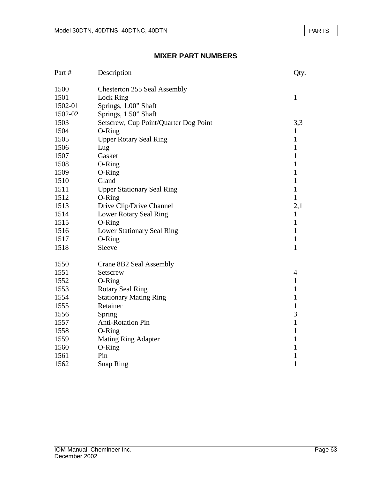| Part #  | Description                           | Qty.         |
|---------|---------------------------------------|--------------|
| 1500    | Chesterton 255 Seal Assembly          |              |
| 1501    | Lock Ring                             | $\mathbf{1}$ |
| 1502-01 | Springs, 1.00" Shaft                  |              |
| 1502-02 | Springs, 1.50" Shaft                  |              |
| 1503    | Setscrew, Cup Point/Quarter Dog Point | 3,3          |
| 1504    | O-Ring                                | 1            |
| 1505    | <b>Upper Rotary Seal Ring</b>         | $\mathbf{1}$ |
| 1506    | Lug                                   | $\mathbf{1}$ |
| 1507    | Gasket                                | 1            |
| 1508    | O-Ring                                | 1            |
| 1509    | O-Ring                                | 1            |
| 1510    | Gland                                 | 1            |
| 1511    | <b>Upper Stationary Seal Ring</b>     | $\mathbf{1}$ |
| 1512    | O-Ring                                | $\mathbf{1}$ |
| 1513    | Drive Clip/Drive Channel              | 2,1          |
| 1514    | Lower Rotary Seal Ring                | $\mathbf{1}$ |
| 1515    | O-Ring                                | 1            |
| 1516    | Lower Stationary Seal Ring            | 1            |
| 1517    | O-Ring                                | $\mathbf{1}$ |
| 1518    | Sleeve                                | $\mathbf{1}$ |
| 1550    | Crane 8B2 Seal Assembly               |              |
| 1551    | Setscrew                              | 4            |
| 1552    | O-Ring                                | $\mathbf{1}$ |
| 1553    | <b>Rotary Seal Ring</b>               | $\mathbf{1}$ |
| 1554    | <b>Stationary Mating Ring</b>         | $\mathbf{1}$ |
| 1555    | Retainer                              | $\mathbf{1}$ |
| 1556    | Spring                                | 3            |
| 1557    | <b>Anti-Rotation Pin</b>              | $\mathbf{1}$ |
| 1558    | O-Ring                                | 1            |
| 1559    | <b>Mating Ring Adapter</b>            | 1            |
| 1560    | O-Ring                                | 1            |
| 1561    | Pin                                   | 1            |
| 1562    | <b>Snap Ring</b>                      | 1            |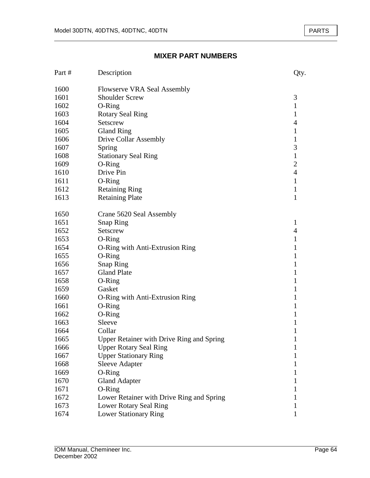| Part # | Description                               | Qty.           |
|--------|-------------------------------------------|----------------|
| 1600   | <b>Flowserve VRA Seal Assembly</b>        |                |
| 1601   | <b>Shoulder Screw</b>                     | 3              |
| 1602   | O-Ring                                    | $\mathbf{1}$   |
| 1603   | <b>Rotary Seal Ring</b>                   | $\mathbf{1}$   |
| 1604   | Setscrew                                  | 4              |
| 1605   | <b>Gland Ring</b>                         | 1              |
| 1606   | <b>Drive Collar Assembly</b>              | $\mathbf{1}$   |
| 1607   | Spring                                    | 3              |
| 1608   | <b>Stationary Seal Ring</b>               | $\mathbf{1}$   |
| 1609   | O-Ring                                    | $\overline{2}$ |
| 1610   | Drive Pin                                 | $\overline{4}$ |
| 1611   | O-Ring                                    | $\mathbf{1}$   |
| 1612   | <b>Retaining Ring</b>                     | 1              |
| 1613   | <b>Retaining Plate</b>                    | $\mathbf{1}$   |
| 1650   | Crane 5620 Seal Assembly                  |                |
| 1651   | <b>Snap Ring</b>                          | 1              |
| 1652   | Setscrew                                  | $\overline{4}$ |
| 1653   | O-Ring                                    | 1              |
| 1654   | O-Ring with Anti-Extrusion Ring           | 1              |
| 1655   | O-Ring                                    | $\mathbf{1}$   |
| 1656   | <b>Snap Ring</b>                          | 1              |
| 1657   | <b>Gland Plate</b>                        | 1              |
| 1658   | O-Ring                                    | $\mathbf{1}$   |
| 1659   | Gasket                                    | 1              |
| 1660   | O-Ring with Anti-Extrusion Ring           | 1              |
| 1661   | O-Ring                                    | 1              |
| 1662   | O-Ring                                    | 1              |
| 1663   | Sleeve                                    | 1              |
| 1664   | Collar                                    | 1              |
| 1665   | Upper Retainer with Drive Ring and Spring | 1              |
| 1666   | <b>Upper Rotary Seal Ring</b>             | 1              |
| 1667   | <b>Upper Stationary Ring</b>              | 1              |
| 1668   | <b>Sleeve Adapter</b>                     | 1              |
| 1669   | O-Ring                                    | 1              |
| 1670   | <b>Gland Adapter</b>                      | 1              |
| 1671   | O-Ring                                    | I              |
| 1672   | Lower Retainer with Drive Ring and Spring |                |
| 1673   | Lower Rotary Seal Ring                    | 1              |
| 1674   | <b>Lower Stationary Ring</b>              | 1              |